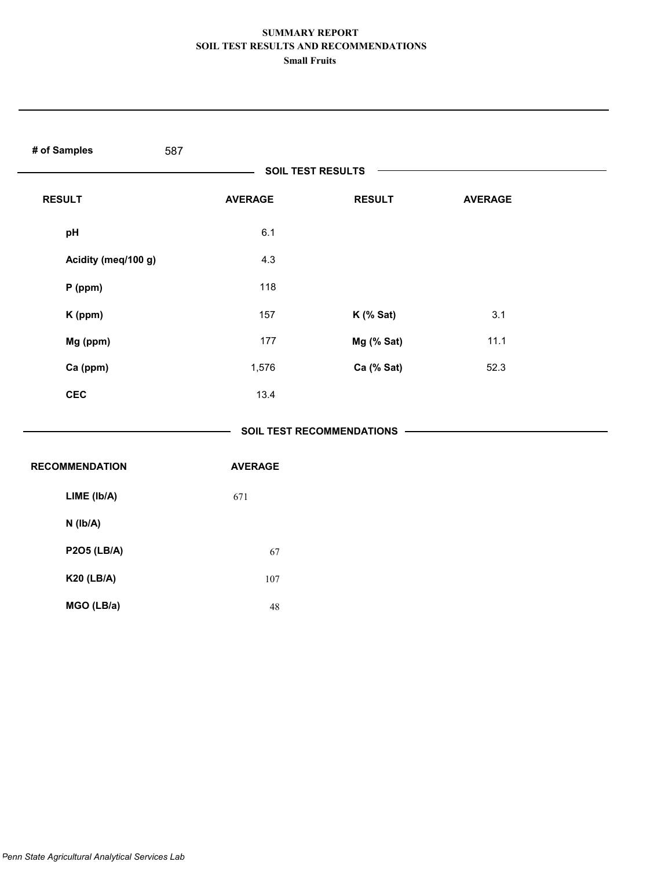| # of Samples<br>587      |                |                             |                |  |  |  |
|--------------------------|----------------|-----------------------------|----------------|--|--|--|
| <b>SOIL TEST RESULTS</b> |                |                             |                |  |  |  |
| <b>RESULT</b>            | <b>AVERAGE</b> | <b>RESULT</b>               | <b>AVERAGE</b> |  |  |  |
| pH                       | 6.1            |                             |                |  |  |  |
| Acidity (meq/100 g)      | 4.3            |                             |                |  |  |  |
| $P$ (ppm)                | 118            |                             |                |  |  |  |
| K (ppm)                  | 157            | K (% Sat)                   | 3.1            |  |  |  |
| Mg (ppm)                 | 177            | Mg (% Sat)                  | 11.1           |  |  |  |
| Ca (ppm)                 | 1,576          | Ca (% Sat)                  | 52.3           |  |  |  |
| <b>CEC</b>               | 13.4           |                             |                |  |  |  |
|                          |                | SOIL TEST RECOMMENDATIONS - |                |  |  |  |
| <b>RECOMMENDATION</b>    | <b>AVERAGE</b> |                             |                |  |  |  |
| LIME (Ib/A)              | 671            |                             |                |  |  |  |
| N (Ib/A)                 |                |                             |                |  |  |  |
| <b>P2O5 (LB/A)</b>       | 67             |                             |                |  |  |  |
| <b>K20 (LB/A)</b>        | 107            |                             |                |  |  |  |
| MGO (LB/a)               | $48\,$         |                             |                |  |  |  |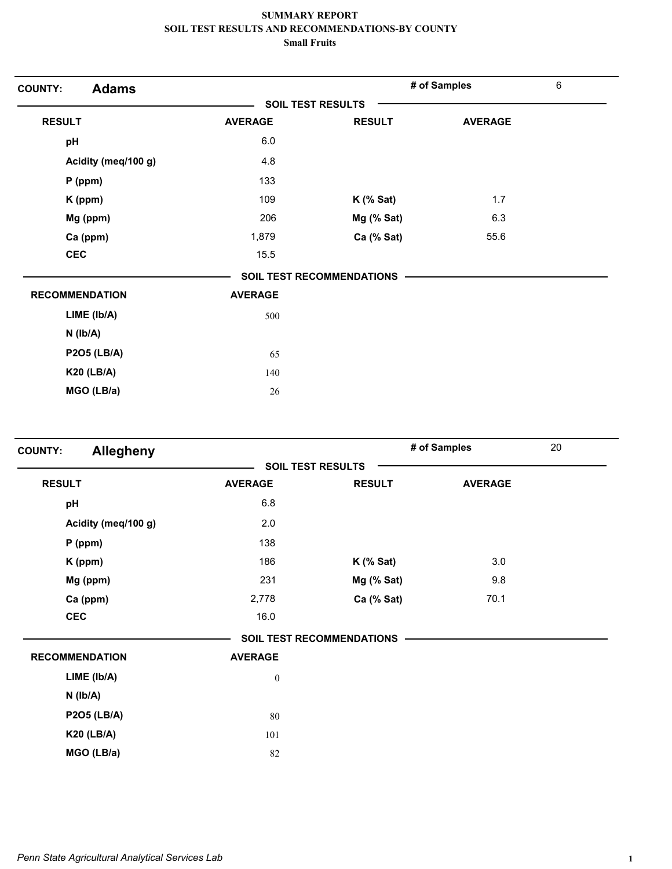| <b>Adams</b><br><b>COUNTY:</b> |                |                                  | # of Samples   | $\,6\,$ |
|--------------------------------|----------------|----------------------------------|----------------|---------|
|                                |                | <b>SOIL TEST RESULTS</b>         |                |         |
| <b>RESULT</b>                  | <b>AVERAGE</b> | <b>RESULT</b>                    | <b>AVERAGE</b> |         |
| pH                             | 6.0            |                                  |                |         |
| Acidity (meq/100 g)            | 4.8            |                                  |                |         |
| $P$ (ppm)                      | 133            |                                  |                |         |
| K (ppm)                        | 109            | $K$ (% Sat)                      | 1.7            |         |
| Mg (ppm)                       | 206            | Mg (% Sat)                       | 6.3            |         |
| Ca (ppm)                       | 1,879          | Ca (% Sat)                       | 55.6           |         |
| <b>CEC</b>                     | 15.5           |                                  |                |         |
|                                |                | <b>SOIL TEST RECOMMENDATIONS</b> |                |         |
| <b>RECOMMENDATION</b>          | <b>AVERAGE</b> |                                  |                |         |
| LIME (Ib/A)                    | 500            |                                  |                |         |
| $N$ ( $Ib/A$ )                 |                |                                  |                |         |
| <b>P2O5 (LB/A)</b>             | 65             |                                  |                |         |
| <b>K20 (LB/A)</b>              | 140            |                                  |                |         |
| MGO (LB/a)                     | 26             |                                  |                |         |

| <b>Allegheny</b><br><b>COUNTY:</b> |                  |                                  | # of Samples   | 20 |
|------------------------------------|------------------|----------------------------------|----------------|----|
|                                    |                  | <b>SOIL TEST RESULTS</b>         |                |    |
| <b>RESULT</b>                      | <b>AVERAGE</b>   | <b>RESULT</b>                    | <b>AVERAGE</b> |    |
| pH                                 | 6.8              |                                  |                |    |
| Acidity (meq/100 g)                | 2.0              |                                  |                |    |
| $P$ (ppm)                          | 138              |                                  |                |    |
| K (ppm)                            | 186              | $K$ (% Sat)                      | 3.0            |    |
| Mg (ppm)                           | 231              | Mg (% Sat)                       | 9.8            |    |
| Ca (ppm)                           | 2,778            | Ca (% Sat)                       | 70.1           |    |
| <b>CEC</b>                         | 16.0             |                                  |                |    |
|                                    |                  | <b>SOIL TEST RECOMMENDATIONS</b> |                |    |
| <b>RECOMMENDATION</b>              | <b>AVERAGE</b>   |                                  |                |    |
| LIME (Ib/A)                        | $\boldsymbol{0}$ |                                  |                |    |
| $N$ ( $lb/A$ )                     |                  |                                  |                |    |
| <b>P2O5 (LB/A)</b>                 | 80               |                                  |                |    |
| <b>K20 (LB/A)</b>                  | 101              |                                  |                |    |
| MGO (LB/a)                         | 82               |                                  |                |    |
|                                    |                  |                                  |                |    |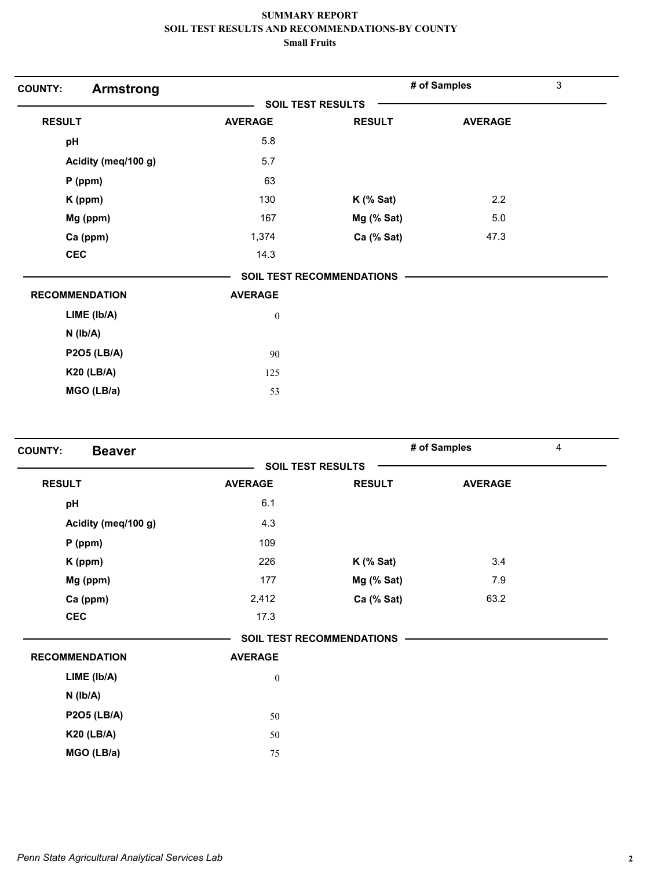| <b>Armstrong</b><br><b>COUNTY:</b> |                          |                           | # of Samples   | 3 |
|------------------------------------|--------------------------|---------------------------|----------------|---|
|                                    | <b>SOIL TEST RESULTS</b> |                           |                |   |
| <b>RESULT</b>                      | <b>AVERAGE</b>           | <b>RESULT</b>             | <b>AVERAGE</b> |   |
| pH                                 | 5.8                      |                           |                |   |
| Acidity (meq/100 g)                | 5.7                      |                           |                |   |
| $P$ (ppm)                          | 63                       |                           |                |   |
| K (ppm)                            | 130                      | $K$ (% Sat)               | 2.2            |   |
| Mg (ppm)                           | 167                      | $Mg$ (% Sat)              | 5.0            |   |
| Ca (ppm)                           | 1,374                    | Ca (% Sat)                | 47.3           |   |
| <b>CEC</b>                         | 14.3                     |                           |                |   |
|                                    |                          | SOIL TEST RECOMMENDATIONS |                |   |
| <b>RECOMMENDATION</b>              | <b>AVERAGE</b>           |                           |                |   |
| LIME (lb/A)                        | $\boldsymbol{0}$         |                           |                |   |
| $N$ ( $lb/A$ )                     |                          |                           |                |   |
| <b>P2O5 (LB/A)</b>                 | 90                       |                           |                |   |
| <b>K20 (LB/A)</b>                  | 125                      |                           |                |   |
| MGO (LB/a)                         | 53                       |                           |                |   |

| <b>COUNTY:</b><br><b>Beaver</b> |                  |                                  | # of Samples   | 4 |
|---------------------------------|------------------|----------------------------------|----------------|---|
|                                 |                  | <b>SOIL TEST RESULTS</b>         |                |   |
| <b>RESULT</b>                   | <b>AVERAGE</b>   | <b>RESULT</b>                    | <b>AVERAGE</b> |   |
| pH                              | 6.1              |                                  |                |   |
| Acidity (meq/100 g)             | 4.3              |                                  |                |   |
| $P$ (ppm)                       | 109              |                                  |                |   |
| K (ppm)                         | 226              | $K$ (% Sat)                      | 3.4            |   |
| Mg (ppm)                        | 177              | Mg (% Sat)                       | 7.9            |   |
| Ca (ppm)                        | 2,412            | Ca (% Sat)                       | 63.2           |   |
| <b>CEC</b>                      | 17.3             |                                  |                |   |
|                                 |                  | <b>SOIL TEST RECOMMENDATIONS</b> |                |   |
| <b>RECOMMENDATION</b>           | <b>AVERAGE</b>   |                                  |                |   |
| LIME (lb/A)                     | $\boldsymbol{0}$ |                                  |                |   |
| $N$ ( $Ib/A$ )                  |                  |                                  |                |   |
| <b>P2O5 (LB/A)</b>              | 50               |                                  |                |   |
| <b>K20 (LB/A)</b>               | 50               |                                  |                |   |
| MGO (LB/a)                      | 75               |                                  |                |   |
|                                 |                  |                                  |                |   |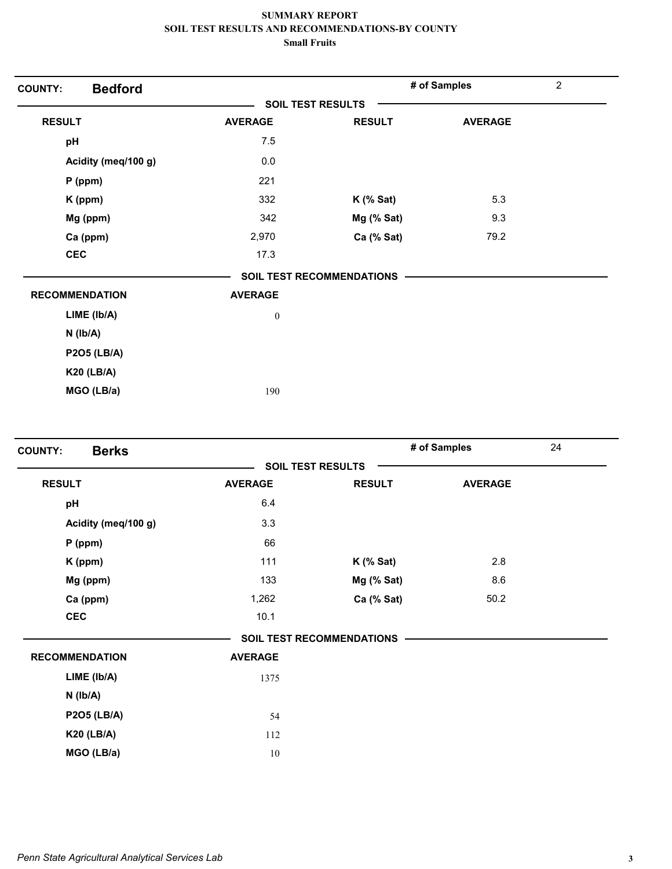| <b>Bedford</b><br><b>COUNTY:</b> |                          |                           | # of Samples   | $\overline{2}$ |
|----------------------------------|--------------------------|---------------------------|----------------|----------------|
|                                  | <b>SOIL TEST RESULTS</b> |                           |                |                |
| <b>RESULT</b>                    | <b>AVERAGE</b>           | <b>RESULT</b>             | <b>AVERAGE</b> |                |
| pH                               | 7.5                      |                           |                |                |
| Acidity (meq/100 g)              | 0.0                      |                           |                |                |
| $P$ (ppm)                        | 221                      |                           |                |                |
| $K$ (ppm)                        | 332                      | $K$ (% Sat)               | 5.3            |                |
| Mg (ppm)                         | 342                      | Mg (% Sat)                | 9.3            |                |
| Ca (ppm)                         | 2,970                    | Ca (% Sat)                | 79.2           |                |
| <b>CEC</b>                       | 17.3                     |                           |                |                |
|                                  |                          | SOIL TEST RECOMMENDATIONS |                |                |
| <b>RECOMMENDATION</b>            | <b>AVERAGE</b>           |                           |                |                |
| LIME (Ib/A)                      | $\boldsymbol{0}$         |                           |                |                |
| $N$ ( $lb/A$ )                   |                          |                           |                |                |
| <b>P2O5 (LB/A)</b>               |                          |                           |                |                |
| <b>K20 (LB/A)</b>                |                          |                           |                |                |
| MGO (LB/a)                       | 190                      |                           |                |                |

| <b>Berks</b><br><b>COUNTY:</b> |                |                                  | # of Samples   | 24 |
|--------------------------------|----------------|----------------------------------|----------------|----|
|                                |                | <b>SOIL TEST RESULTS</b>         |                |    |
| <b>RESULT</b>                  | <b>AVERAGE</b> | <b>RESULT</b>                    | <b>AVERAGE</b> |    |
| pH                             | 6.4            |                                  |                |    |
| Acidity (meq/100 g)            | 3.3            |                                  |                |    |
| $P$ (ppm)                      | 66             |                                  |                |    |
| K (ppm)                        | 111            | $K$ (% Sat)                      | 2.8            |    |
| Mg (ppm)                       | 133            | Mg (% Sat)                       | 8.6            |    |
| Ca (ppm)                       | 1,262          | Ca (% Sat)                       | 50.2           |    |
| <b>CEC</b>                     | 10.1           |                                  |                |    |
|                                |                | <b>SOIL TEST RECOMMENDATIONS</b> |                |    |
| <b>RECOMMENDATION</b>          | <b>AVERAGE</b> |                                  |                |    |
| LIME (lb/A)                    | 1375           |                                  |                |    |
| $N$ ( $lb/A$ )                 |                |                                  |                |    |
| <b>P2O5 (LB/A)</b>             | 54             |                                  |                |    |
| <b>K20 (LB/A)</b>              | 112            |                                  |                |    |
| MGO (LB/a)                     | $10\,$         |                                  |                |    |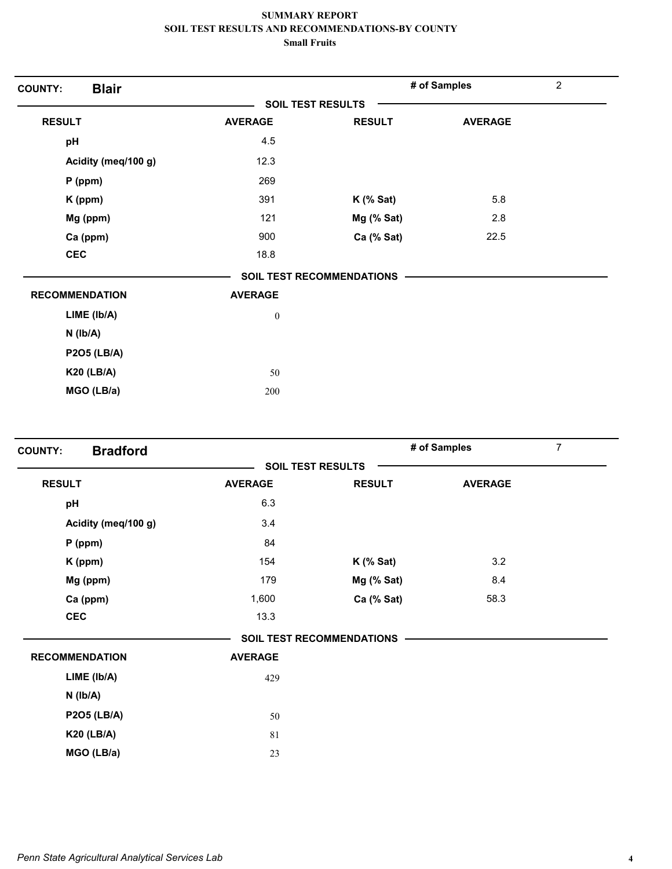| <b>Blair</b><br><b>COUNTY:</b> |                  |                                  | # of Samples   | $\overline{2}$ |
|--------------------------------|------------------|----------------------------------|----------------|----------------|
|                                |                  | <b>SOIL TEST RESULTS</b>         |                |                |
| <b>RESULT</b>                  | <b>AVERAGE</b>   | <b>RESULT</b>                    | <b>AVERAGE</b> |                |
| pH                             | 4.5              |                                  |                |                |
| Acidity (meq/100 g)            | 12.3             |                                  |                |                |
| $P$ (ppm)                      | 269              |                                  |                |                |
| $K$ (ppm)                      | 391              | $K$ (% Sat)                      | 5.8            |                |
| Mg (ppm)                       | 121              | Mg (% Sat)                       | 2.8            |                |
| Ca (ppm)                       | 900              | Ca (% Sat)                       | 22.5           |                |
| <b>CEC</b>                     | 18.8             |                                  |                |                |
|                                |                  | <b>SOIL TEST RECOMMENDATIONS</b> |                |                |
| <b>RECOMMENDATION</b>          | <b>AVERAGE</b>   |                                  |                |                |
| LIME (lb/A)                    | $\boldsymbol{0}$ |                                  |                |                |
| $N$ ( $Ib/A$ )                 |                  |                                  |                |                |
| <b>P2O5 (LB/A)</b>             |                  |                                  |                |                |
| <b>K20 (LB/A)</b>              | 50               |                                  |                |                |
| MGO (LB/a)                     | 200              |                                  |                |                |

| <b>Bradford</b><br><b>COUNTY:</b> |                |                                  | # of Samples   | $\overline{7}$ |  |
|-----------------------------------|----------------|----------------------------------|----------------|----------------|--|
|                                   |                | <b>SOIL TEST RESULTS</b>         |                |                |  |
| <b>RESULT</b>                     | <b>AVERAGE</b> | <b>RESULT</b>                    | <b>AVERAGE</b> |                |  |
| pH                                | 6.3            |                                  |                |                |  |
| Acidity (meq/100 g)               | 3.4            |                                  |                |                |  |
| $P$ (ppm)                         | 84             |                                  |                |                |  |
| K (ppm)                           | 154            | $K$ (% Sat)                      | 3.2            |                |  |
| Mg (ppm)                          | 179            | Mg (% Sat)                       | 8.4            |                |  |
| Ca (ppm)                          | 1,600          | Ca (% Sat)                       | 58.3           |                |  |
| <b>CEC</b>                        | 13.3           |                                  |                |                |  |
|                                   |                | <b>SOIL TEST RECOMMENDATIONS</b> |                |                |  |
| <b>RECOMMENDATION</b>             | <b>AVERAGE</b> |                                  |                |                |  |
| LIME (Ib/A)                       | 429            |                                  |                |                |  |
| $N$ ( $Ib/A$ )                    |                |                                  |                |                |  |
| <b>P2O5 (LB/A)</b>                | 50             |                                  |                |                |  |
| <b>K20 (LB/A)</b>                 | 81             |                                  |                |                |  |
| MGO (LB/a)                        | 23             |                                  |                |                |  |
|                                   |                |                                  |                |                |  |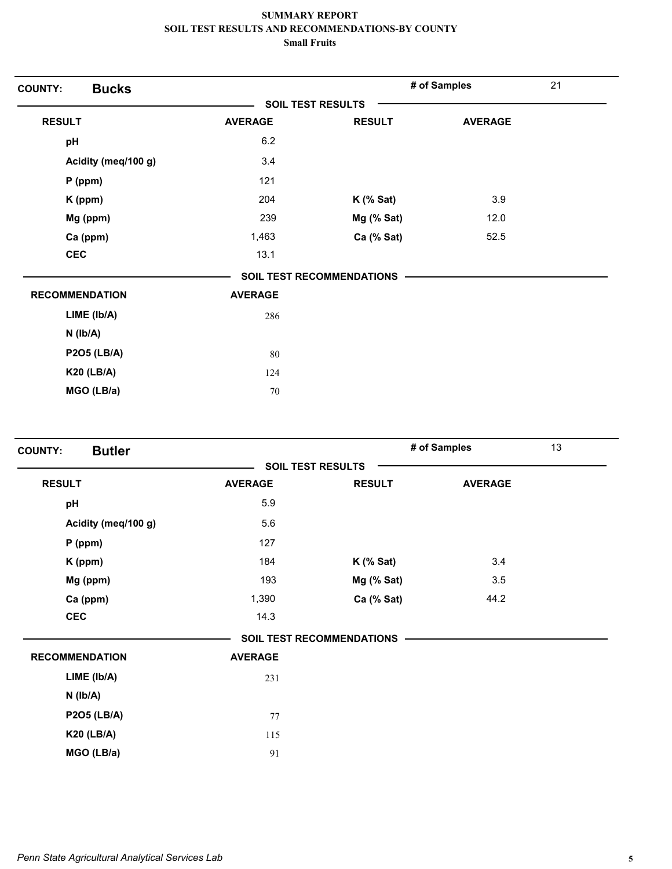| <b>COUNTY:</b> | <b>Bucks</b>          |                |                                  | # of Samples   | 21 |
|----------------|-----------------------|----------------|----------------------------------|----------------|----|
|                |                       |                | <b>SOIL TEST RESULTS</b>         |                |    |
| <b>RESULT</b>  |                       | <b>AVERAGE</b> | <b>RESULT</b>                    | <b>AVERAGE</b> |    |
| pH             |                       | 6.2            |                                  |                |    |
|                | Acidity (meq/100 g)   | 3.4            |                                  |                |    |
|                | $P$ (ppm)             | 121            |                                  |                |    |
|                | K (ppm)               | 204            | $K$ (% Sat)                      | 3.9            |    |
|                | Mg (ppm)              | 239            | Mg (% Sat)                       | 12.0           |    |
|                | Ca (ppm)              | 1,463          | Ca (% Sat)                       | 52.5           |    |
| <b>CEC</b>     |                       | 13.1           |                                  |                |    |
|                |                       |                | <b>SOIL TEST RECOMMENDATIONS</b> |                |    |
|                | <b>RECOMMENDATION</b> | <b>AVERAGE</b> |                                  |                |    |
|                | LIME (lb/A)           | 286            |                                  |                |    |
|                | $N$ ( $lb/A$ )        |                |                                  |                |    |
|                | <b>P2O5 (LB/A)</b>    | 80             |                                  |                |    |
|                | <b>K20 (LB/A)</b>     | 124            |                                  |                |    |
|                | MGO (LB/a)            | 70             |                                  |                |    |
|                |                       |                |                                  |                |    |

| <b>Butler</b><br><b>COUNTY:</b> |                |                                  | # of Samples   | 13 |
|---------------------------------|----------------|----------------------------------|----------------|----|
|                                 |                | <b>SOIL TEST RESULTS</b>         |                |    |
| <b>RESULT</b>                   | <b>AVERAGE</b> | <b>RESULT</b>                    | <b>AVERAGE</b> |    |
| pH                              | 5.9            |                                  |                |    |
| Acidity (meq/100 g)             | 5.6            |                                  |                |    |
| $P$ (ppm)                       | 127            |                                  |                |    |
| K (ppm)                         | 184            | $K$ (% Sat)                      | 3.4            |    |
| Mg (ppm)                        | 193            | Mg (% Sat)                       | 3.5            |    |
| Ca (ppm)                        | 1,390          | Ca (% Sat)                       | 44.2           |    |
| <b>CEC</b>                      | 14.3           |                                  |                |    |
|                                 |                | <b>SOIL TEST RECOMMENDATIONS</b> |                |    |
| <b>RECOMMENDATION</b>           | <b>AVERAGE</b> |                                  |                |    |
| LIME (Ib/A)                     | 231            |                                  |                |    |
| $N$ ( $Ib/A$ )                  |                |                                  |                |    |
| <b>P2O5 (LB/A)</b>              | 77             |                                  |                |    |
| <b>K20 (LB/A)</b>               | 115            |                                  |                |    |
| MGO (LB/a)                      | 91             |                                  |                |    |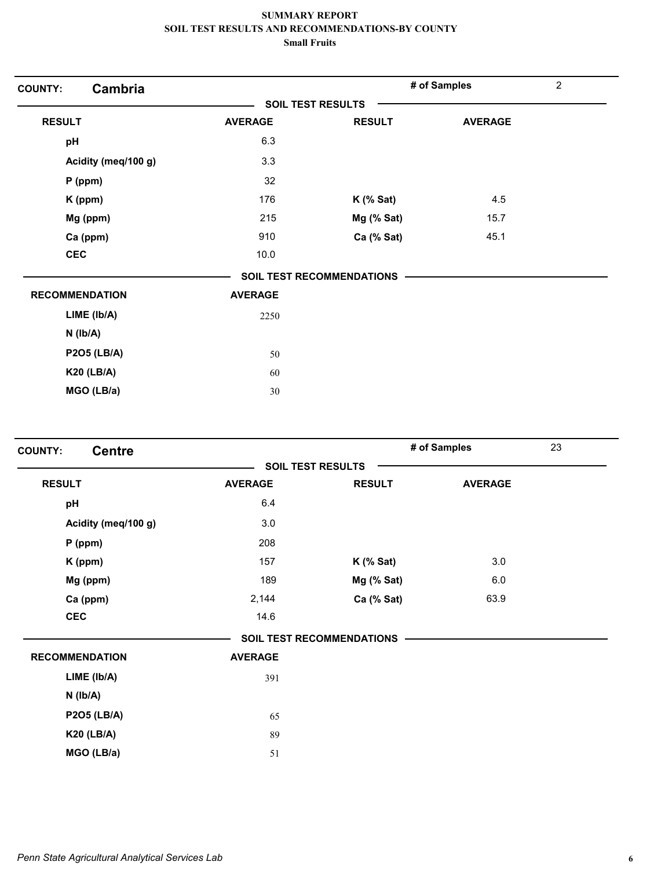| Cambria<br><b>COUNTY:</b> |                |                           | # of Samples   | $\overline{c}$ |
|---------------------------|----------------|---------------------------|----------------|----------------|
|                           |                | <b>SOIL TEST RESULTS</b>  |                |                |
| <b>RESULT</b>             | <b>AVERAGE</b> | <b>RESULT</b>             | <b>AVERAGE</b> |                |
| pH                        | 6.3            |                           |                |                |
| Acidity (meq/100 g)       | 3.3            |                           |                |                |
| $P$ (ppm)                 | 32             |                           |                |                |
| K (ppm)                   | 176            | $K$ (% Sat)               | 4.5            |                |
| Mg (ppm)                  | 215            | Mg (% Sat)                | 15.7           |                |
| Ca (ppm)                  | 910            | Ca (% Sat)                | 45.1           |                |
| <b>CEC</b>                | 10.0           |                           |                |                |
|                           |                | SOIL TEST RECOMMENDATIONS |                |                |
| <b>RECOMMENDATION</b>     | <b>AVERAGE</b> |                           |                |                |
| LIME (lb/A)               | 2250           |                           |                |                |
| $N$ ( $Ib/A$ )            |                |                           |                |                |
| <b>P2O5 (LB/A)</b>        | 50             |                           |                |                |
| <b>K20 (LB/A)</b>         | 60             |                           |                |                |
| MGO (LB/a)                | 30             |                           |                |                |

| <b>Centre</b><br><b>COUNTY:</b> |                |                                  | # of Samples   | 23 |
|---------------------------------|----------------|----------------------------------|----------------|----|
|                                 |                | <b>SOIL TEST RESULTS</b>         |                |    |
| <b>RESULT</b>                   | <b>AVERAGE</b> | <b>RESULT</b>                    | <b>AVERAGE</b> |    |
| pH                              | 6.4            |                                  |                |    |
| Acidity (meq/100 g)             | 3.0            |                                  |                |    |
| $P$ (ppm)                       | 208            |                                  |                |    |
| K (ppm)                         | 157            | $K$ (% Sat)                      | 3.0            |    |
| Mg (ppm)                        | 189            | Mg (% Sat)                       | 6.0            |    |
| Ca (ppm)                        | 2,144          | Ca (% Sat)                       | 63.9           |    |
| <b>CEC</b>                      | 14.6           |                                  |                |    |
|                                 |                | <b>SOIL TEST RECOMMENDATIONS</b> |                |    |
| <b>RECOMMENDATION</b>           | <b>AVERAGE</b> |                                  |                |    |
| LIME (Ib/A)                     | 391            |                                  |                |    |
| $N$ ( $Ib/A$ )                  |                |                                  |                |    |
| <b>P2O5 (LB/A)</b>              | 65             |                                  |                |    |
| <b>K20 (LB/A)</b>               | 89             |                                  |                |    |
| MGO (LB/a)                      | 51             |                                  |                |    |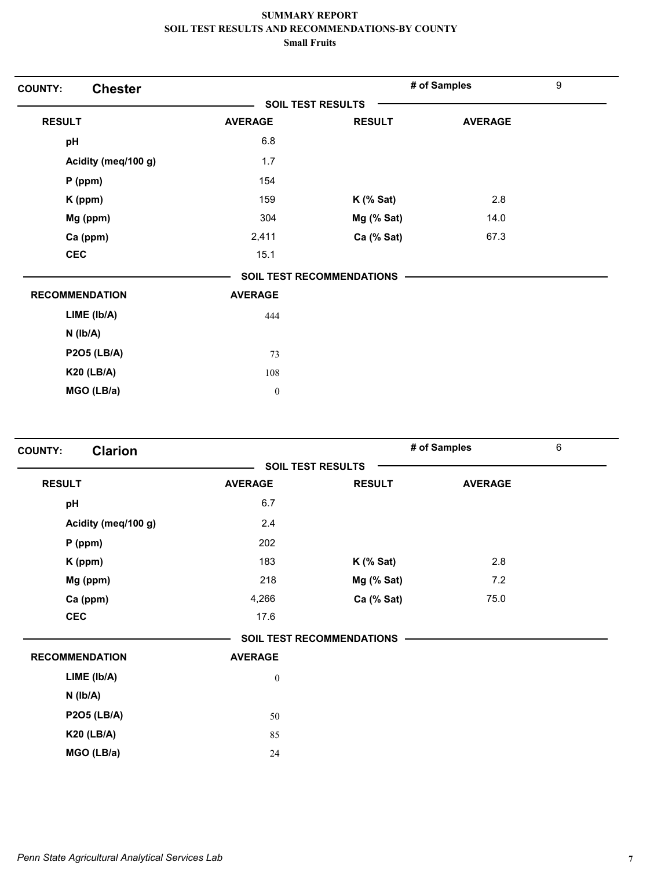| <b>Chester</b><br><b>COUNTY:</b> |                          |                                  | # of Samples   | $\boldsymbol{9}$ |
|----------------------------------|--------------------------|----------------------------------|----------------|------------------|
|                                  | <b>SOIL TEST RESULTS</b> |                                  |                |                  |
| <b>RESULT</b>                    | <b>AVERAGE</b>           | <b>RESULT</b>                    | <b>AVERAGE</b> |                  |
| pH                               | 6.8                      |                                  |                |                  |
| Acidity (meq/100 g)              | 1.7                      |                                  |                |                  |
| $P$ (ppm)                        | 154                      |                                  |                |                  |
| K (ppm)                          | 159                      | $K$ (% Sat)                      | 2.8            |                  |
| Mg (ppm)                         | 304                      | Mg (% Sat)                       | 14.0           |                  |
| Ca (ppm)                         | 2,411                    | Ca (% Sat)                       | 67.3           |                  |
| <b>CEC</b>                       | 15.1                     |                                  |                |                  |
|                                  |                          | <b>SOIL TEST RECOMMENDATIONS</b> |                |                  |
| <b>RECOMMENDATION</b>            | <b>AVERAGE</b>           |                                  |                |                  |
| LIME (Ib/A)                      | 444                      |                                  |                |                  |
| $N$ ( $Ib/A$ )                   |                          |                                  |                |                  |
| <b>P2O5 (LB/A)</b>               | 73                       |                                  |                |                  |
| <b>K20 (LB/A)</b>                | 108                      |                                  |                |                  |
| MGO (LB/a)                       | $\boldsymbol{0}$         |                                  |                |                  |

|                  |               |                                                              | 6            |
|------------------|---------------|--------------------------------------------------------------|--------------|
|                  |               |                                                              |              |
| <b>AVERAGE</b>   | <b>RESULT</b> | <b>AVERAGE</b>                                               |              |
| 6.7              |               |                                                              |              |
| 2.4              |               |                                                              |              |
| 202              |               |                                                              |              |
| 183              | $K$ (% Sat)   | 2.8                                                          |              |
| 218              | Mg (% Sat)    | 7.2                                                          |              |
| 4,266            | Ca (% Sat)    | 75.0                                                         |              |
| 17.6             |               |                                                              |              |
|                  |               |                                                              |              |
| <b>AVERAGE</b>   |               |                                                              |              |
| $\boldsymbol{0}$ |               |                                                              |              |
|                  |               |                                                              |              |
| 50               |               |                                                              |              |
| 85               |               |                                                              |              |
| 24               |               |                                                              |              |
|                  |               | <b>SOIL TEST RESULTS</b><br><b>SOIL TEST RECOMMENDATIONS</b> | # of Samples |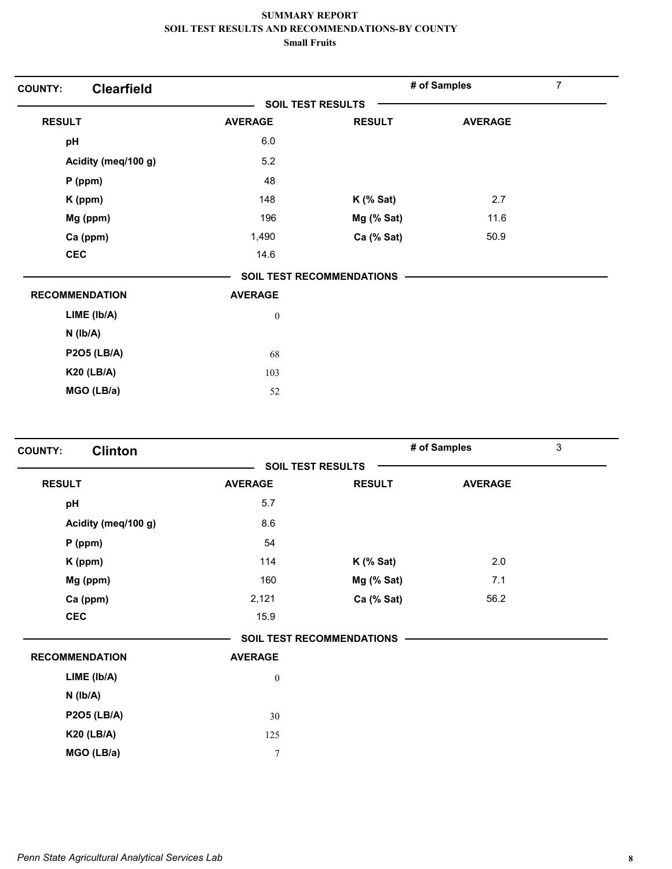| <b>Clearfield</b><br><b>COUNTY:</b> |                  |                                  | # of Samples   | 7 |
|-------------------------------------|------------------|----------------------------------|----------------|---|
|                                     |                  | <b>SOIL TEST RESULTS</b>         |                |   |
| <b>RESULT</b>                       | <b>AVERAGE</b>   | <b>RESULT</b>                    | <b>AVERAGE</b> |   |
| pH                                  | 6.0              |                                  |                |   |
| Acidity (meq/100 g)                 | 5.2              |                                  |                |   |
| $P$ (ppm)                           | 48               |                                  |                |   |
| K (ppm)                             | 148              | $K$ (% Sat)                      | 2.7            |   |
| Mg (ppm)                            | 196              | Mg (% Sat)                       | 11.6           |   |
| Ca (ppm)                            | 1,490            | Ca (% Sat)                       | 50.9           |   |
| <b>CEC</b>                          | 14.6             |                                  |                |   |
|                                     |                  | <b>SOIL TEST RECOMMENDATIONS</b> |                |   |
| <b>RECOMMENDATION</b>               | <b>AVERAGE</b>   |                                  |                |   |
| LIME (Ib/A)                         | $\boldsymbol{0}$ |                                  |                |   |
| $N$ ( $Ib/A$ )                      |                  |                                  |                |   |
| <b>P2O5 (LB/A)</b>                  | 68               |                                  |                |   |
| <b>K20 (LB/A)</b>                   | 103              |                                  |                |   |
| MGO (LB/a)                          | 52               |                                  |                |   |

| <b>Clinton</b><br><b>COUNTY:</b> |                  |                                  | # of Samples   | 3 |
|----------------------------------|------------------|----------------------------------|----------------|---|
|                                  |                  | <b>SOIL TEST RESULTS</b>         |                |   |
| <b>RESULT</b>                    | <b>AVERAGE</b>   | <b>RESULT</b>                    | <b>AVERAGE</b> |   |
| pH                               | 5.7              |                                  |                |   |
| Acidity (meq/100 g)              | 8.6              |                                  |                |   |
| $P$ (ppm)                        | 54               |                                  |                |   |
| K (ppm)                          | 114              | $K$ (% Sat)                      | 2.0            |   |
| Mg (ppm)                         | 160              | Mg (% Sat)                       | 7.1            |   |
| Ca (ppm)                         | 2,121            | Ca (% Sat)                       | 56.2           |   |
| <b>CEC</b>                       | 15.9             |                                  |                |   |
|                                  |                  | <b>SOIL TEST RECOMMENDATIONS</b> |                |   |
| <b>RECOMMENDATION</b>            | <b>AVERAGE</b>   |                                  |                |   |
| LIME (Ib/A)                      | $\boldsymbol{0}$ |                                  |                |   |
| $N$ ( $Ib/A$ )                   |                  |                                  |                |   |
| <b>P2O5 (LB/A)</b>               | 30               |                                  |                |   |
| <b>K20 (LB/A)</b>                | 125              |                                  |                |   |
| MGO (LB/a)                       | $\overline{7}$   |                                  |                |   |
|                                  |                  |                                  |                |   |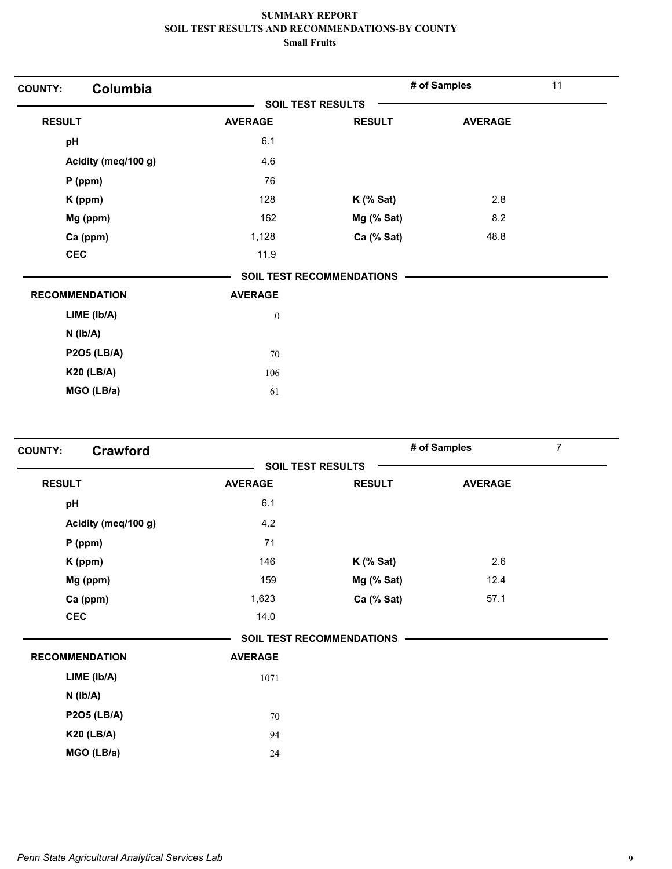| Columbia<br><b>COUNTY:</b> |                          |                                  | # of Samples   | 11 |
|----------------------------|--------------------------|----------------------------------|----------------|----|
|                            | <b>SOIL TEST RESULTS</b> |                                  |                |    |
| <b>RESULT</b>              | <b>AVERAGE</b>           | <b>RESULT</b>                    | <b>AVERAGE</b> |    |
| pH                         | 6.1                      |                                  |                |    |
| Acidity (meq/100 g)        | 4.6                      |                                  |                |    |
| P (ppm)                    | 76                       |                                  |                |    |
| K (ppm)                    | 128                      | $K$ (% Sat)                      | 2.8            |    |
| Mg (ppm)                   | 162                      | Mg (% Sat)                       | 8.2            |    |
| Ca (ppm)                   | 1,128                    | Ca (% Sat)                       | 48.8           |    |
| <b>CEC</b>                 | 11.9                     |                                  |                |    |
|                            |                          | <b>SOIL TEST RECOMMENDATIONS</b> |                |    |
| <b>RECOMMENDATION</b>      | <b>AVERAGE</b>           |                                  |                |    |
| LIME (lb/A)                | $\boldsymbol{0}$         |                                  |                |    |
| $N$ ( $lb/A$ )             |                          |                                  |                |    |
| <b>P2O5 (LB/A)</b>         | 70                       |                                  |                |    |
| <b>K20 (LB/A)</b>          | 106                      |                                  |                |    |
| MGO (LB/a)                 | 61                       |                                  |                |    |

| <b>Crawford</b><br><b>COUNTY:</b> |                |                                  | # of Samples   | $\overline{7}$ |
|-----------------------------------|----------------|----------------------------------|----------------|----------------|
|                                   |                | <b>SOIL TEST RESULTS</b>         |                |                |
| <b>RESULT</b>                     | <b>AVERAGE</b> | <b>RESULT</b>                    | <b>AVERAGE</b> |                |
| pH                                | 6.1            |                                  |                |                |
| Acidity (meq/100 g)               | 4.2            |                                  |                |                |
| $P$ (ppm)                         | 71             |                                  |                |                |
| K (ppm)                           | 146            | $K$ (% Sat)                      | 2.6            |                |
| Mg (ppm)                          | 159            | Mg (% Sat)                       | 12.4           |                |
| Ca (ppm)                          | 1,623          | Ca (% Sat)                       | 57.1           |                |
| <b>CEC</b>                        | 14.0           |                                  |                |                |
|                                   |                | <b>SOIL TEST RECOMMENDATIONS</b> |                |                |
| <b>RECOMMENDATION</b>             | <b>AVERAGE</b> |                                  |                |                |
| LIME (Ib/A)                       | 1071           |                                  |                |                |
| $N$ ( $Ib/A$ )                    |                |                                  |                |                |
| <b>P2O5 (LB/A)</b>                | 70             |                                  |                |                |
| <b>K20 (LB/A)</b>                 | 94             |                                  |                |                |
| MGO (LB/a)                        | 24             |                                  |                |                |
|                                   |                |                                  |                |                |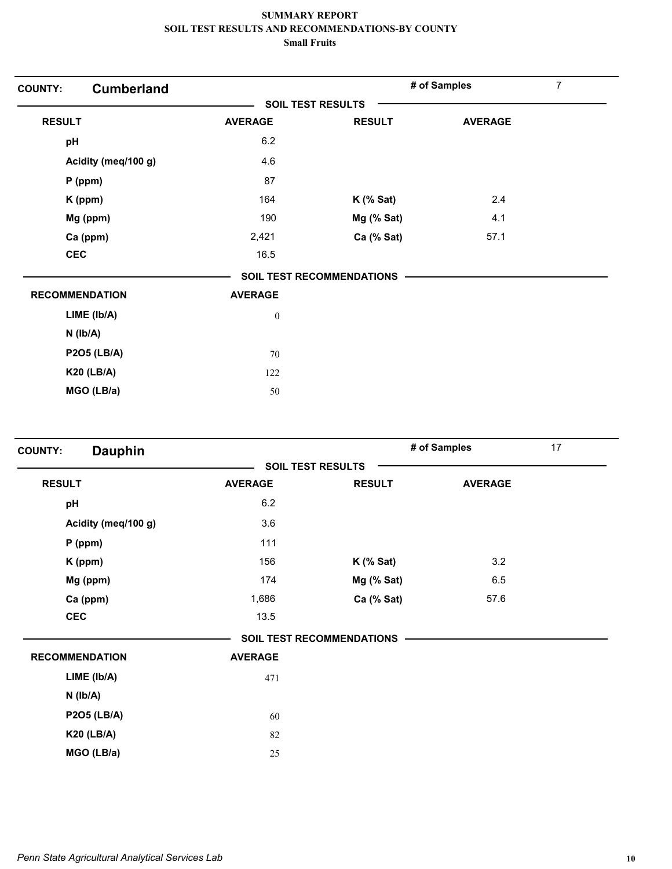| <b>Cumberland</b><br><b>COUNTY:</b> |                  |                                  | # of Samples   | 7 |
|-------------------------------------|------------------|----------------------------------|----------------|---|
|                                     |                  | <b>SOIL TEST RESULTS</b>         |                |   |
| <b>RESULT</b>                       | <b>AVERAGE</b>   | <b>RESULT</b>                    | <b>AVERAGE</b> |   |
| pH                                  | 6.2              |                                  |                |   |
| Acidity (meq/100 g)                 | 4.6              |                                  |                |   |
| $P$ (ppm)                           | 87               |                                  |                |   |
| K (ppm)                             | 164              | $K$ (% Sat)                      | 2.4            |   |
| Mg (ppm)                            | 190              | Mg (% Sat)                       | 4.1            |   |
| Ca (ppm)                            | 2,421            | Ca (% Sat)                       | 57.1           |   |
| <b>CEC</b>                          | 16.5             |                                  |                |   |
|                                     |                  | <b>SOIL TEST RECOMMENDATIONS</b> |                |   |
| <b>RECOMMENDATION</b>               | <b>AVERAGE</b>   |                                  |                |   |
| LIME (Ib/A)                         | $\boldsymbol{0}$ |                                  |                |   |
| $N$ ( $Ib/A$ )                      |                  |                                  |                |   |
| <b>P2O5 (LB/A)</b>                  | 70               |                                  |                |   |
| <b>K20 (LB/A)</b>                   | 122              |                                  |                |   |
| MGO (LB/a)                          | 50               |                                  |                |   |

| <b>Dauphin</b><br><b>COUNTY:</b> |                |                                  | # of Samples   | 17 |
|----------------------------------|----------------|----------------------------------|----------------|----|
|                                  |                | <b>SOIL TEST RESULTS</b>         |                |    |
| <b>RESULT</b>                    | <b>AVERAGE</b> | <b>RESULT</b>                    | <b>AVERAGE</b> |    |
| pH                               | 6.2            |                                  |                |    |
| Acidity (meq/100 g)              | 3.6            |                                  |                |    |
| $P$ (ppm)                        | 111            |                                  |                |    |
| K (ppm)                          | 156            | $K$ (% Sat)                      | 3.2            |    |
| Mg (ppm)                         | 174            | Mg (% Sat)                       | 6.5            |    |
| Ca (ppm)                         | 1,686          | Ca (% Sat)                       | 57.6           |    |
| <b>CEC</b>                       | 13.5           |                                  |                |    |
|                                  |                | <b>SOIL TEST RECOMMENDATIONS</b> |                |    |
| <b>RECOMMENDATION</b>            | <b>AVERAGE</b> |                                  |                |    |
| LIME (Ib/A)                      | 471            |                                  |                |    |
| $N$ ( $Ib/A$ )                   |                |                                  |                |    |
| <b>P2O5 (LB/A)</b>               | 60             |                                  |                |    |
| <b>K20 (LB/A)</b>                | 82             |                                  |                |    |
| MGO (LB/a)                       | 25             |                                  |                |    |
|                                  |                |                                  |                |    |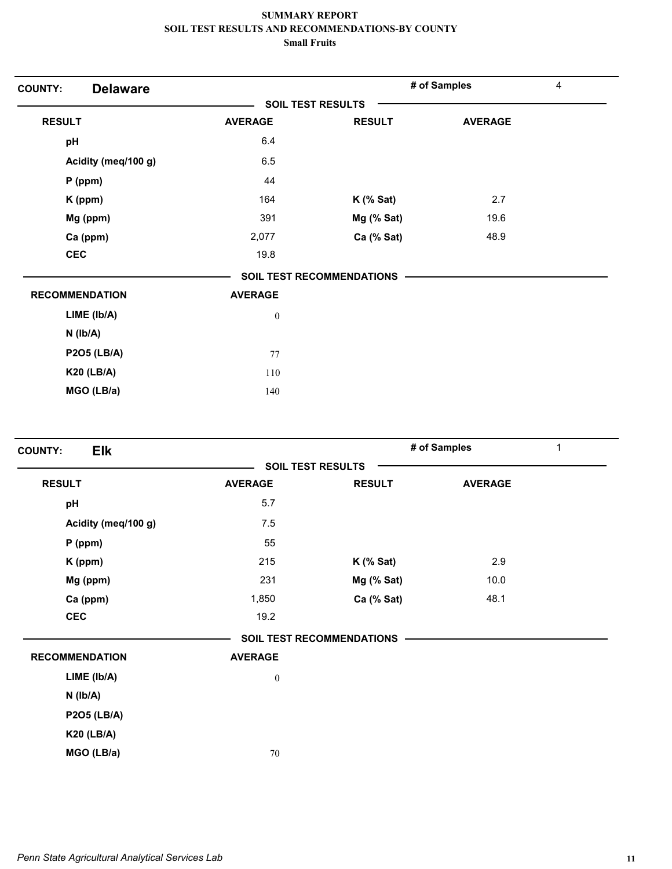| <b>SOIL TEST RESULTS</b><br><b>RESULT</b><br><b>RESULT</b><br><b>AVERAGE</b><br><b>AVERAGE</b><br>6.4<br>pH<br>6.5<br>Acidity (meq/100 g)<br>44<br>$P$ (ppm)<br>2.7<br>164<br>K (ppm)<br>$K$ (% Sat)<br>Mg (ppm)<br>391<br>Mg (% Sat)<br>19.6<br>48.9<br>Ca (ppm)<br>Ca (% Sat)<br>2,077<br><b>CEC</b><br>19.8<br><b>SOIL TEST RECOMMENDATIONS</b><br><b>RECOMMENDATION</b><br><b>AVERAGE</b> | 4 | # of Samples |  | <b>Delaware</b><br><b>COUNTY:</b> |
|-----------------------------------------------------------------------------------------------------------------------------------------------------------------------------------------------------------------------------------------------------------------------------------------------------------------------------------------------------------------------------------------------|---|--------------|--|-----------------------------------|
|                                                                                                                                                                                                                                                                                                                                                                                               |   |              |  |                                   |
|                                                                                                                                                                                                                                                                                                                                                                                               |   |              |  |                                   |
|                                                                                                                                                                                                                                                                                                                                                                                               |   |              |  |                                   |
|                                                                                                                                                                                                                                                                                                                                                                                               |   |              |  |                                   |
|                                                                                                                                                                                                                                                                                                                                                                                               |   |              |  |                                   |
|                                                                                                                                                                                                                                                                                                                                                                                               |   |              |  |                                   |
|                                                                                                                                                                                                                                                                                                                                                                                               |   |              |  |                                   |
|                                                                                                                                                                                                                                                                                                                                                                                               |   |              |  |                                   |
|                                                                                                                                                                                                                                                                                                                                                                                               |   |              |  |                                   |
|                                                                                                                                                                                                                                                                                                                                                                                               |   |              |  |                                   |
|                                                                                                                                                                                                                                                                                                                                                                                               |   |              |  |                                   |
| $LIME$ ( $lb/A$ )<br>$\boldsymbol{0}$                                                                                                                                                                                                                                                                                                                                                         |   |              |  |                                   |
| $N$ ( $Ib/A$ )                                                                                                                                                                                                                                                                                                                                                                                |   |              |  |                                   |
| <b>P2O5 (LB/A)</b><br>77                                                                                                                                                                                                                                                                                                                                                                      |   |              |  |                                   |
| <b>K20 (LB/A)</b><br>110                                                                                                                                                                                                                                                                                                                                                                      |   |              |  |                                   |
| MGO (LB/a)<br>140                                                                                                                                                                                                                                                                                                                                                                             |   |              |  |                                   |

| <b>Elk</b><br><b>COUNTY:</b> |                  |                           | # of Samples<br>$\mathbf{1}$ |  |
|------------------------------|------------------|---------------------------|------------------------------|--|
|                              |                  | <b>SOIL TEST RESULTS</b>  |                              |  |
| <b>RESULT</b>                | <b>AVERAGE</b>   | <b>RESULT</b>             | <b>AVERAGE</b>               |  |
| pH                           | 5.7              |                           |                              |  |
| Acidity (meq/100 g)          | 7.5              |                           |                              |  |
| $P$ (ppm)                    | 55               |                           |                              |  |
| K (ppm)                      | 215              | $K$ (% Sat)               | 2.9                          |  |
| Mg (ppm)                     | 231              | Mg (% Sat)                | 10.0                         |  |
| Ca (ppm)                     | 1,850            | Ca (% Sat)                | 48.1                         |  |
| <b>CEC</b>                   | 19.2             |                           |                              |  |
|                              |                  | SOIL TEST RECOMMENDATIONS |                              |  |
| <b>RECOMMENDATION</b>        | <b>AVERAGE</b>   |                           |                              |  |
| LIME (lb/A)                  | $\boldsymbol{0}$ |                           |                              |  |
| $N$ ( $Ib/A$ )               |                  |                           |                              |  |
| <b>P2O5 (LB/A)</b>           |                  |                           |                              |  |
| <b>K20 (LB/A)</b>            |                  |                           |                              |  |
| MGO (LB/a)                   | 70               |                           |                              |  |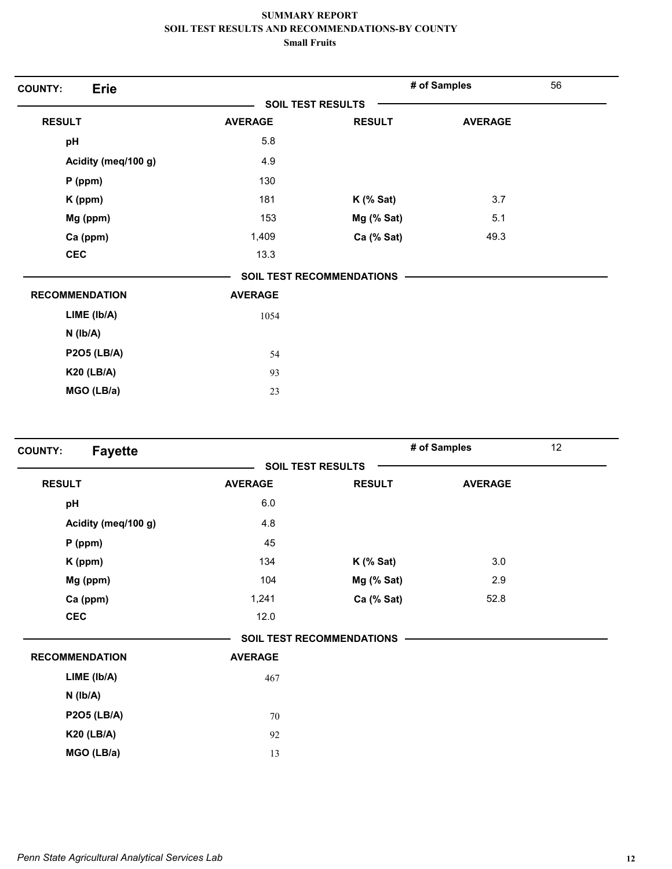| <b>Erie</b><br><b>COUNTY:</b> |                          |                                  | # of Samples   | 56 |
|-------------------------------|--------------------------|----------------------------------|----------------|----|
|                               | <b>SOIL TEST RESULTS</b> |                                  |                |    |
| <b>RESULT</b>                 | <b>AVERAGE</b>           | <b>RESULT</b>                    | <b>AVERAGE</b> |    |
| pH                            | 5.8                      |                                  |                |    |
| Acidity (meq/100 g)           | 4.9                      |                                  |                |    |
| $P$ (ppm)                     | 130                      |                                  |                |    |
| K (ppm)                       | 181                      | $K$ (% Sat)                      | 3.7            |    |
| Mg (ppm)                      | 153                      | Mg (% Sat)                       | 5.1            |    |
| Ca (ppm)                      | 1,409                    | Ca (% Sat)                       | 49.3           |    |
| <b>CEC</b>                    | 13.3                     |                                  |                |    |
|                               |                          | <b>SOIL TEST RECOMMENDATIONS</b> |                |    |
| <b>RECOMMENDATION</b>         | <b>AVERAGE</b>           |                                  |                |    |
| LIME (Ib/A)                   | 1054                     |                                  |                |    |
| $N$ ( $Ib/A$ )                |                          |                                  |                |    |
| <b>P2O5 (LB/A)</b>            | 54                       |                                  |                |    |
| <b>K20 (LB/A)</b>             | 93                       |                                  |                |    |
| MGO (LB/a)                    | 23                       |                                  |                |    |

|                |               |                                                              | 12           |
|----------------|---------------|--------------------------------------------------------------|--------------|
|                |               |                                                              |              |
| <b>AVERAGE</b> | <b>RESULT</b> | <b>AVERAGE</b>                                               |              |
| 6.0            |               |                                                              |              |
| 4.8            |               |                                                              |              |
| 45             |               |                                                              |              |
| 134            | $K$ (% Sat)   | 3.0                                                          |              |
| 104            | Mg (% Sat)    | 2.9                                                          |              |
| 1,241          | Ca (% Sat)    | 52.8                                                         |              |
| 12.0           |               |                                                              |              |
|                |               |                                                              |              |
| <b>AVERAGE</b> |               |                                                              |              |
| 467            |               |                                                              |              |
|                |               |                                                              |              |
| 70             |               |                                                              |              |
| 92             |               |                                                              |              |
| 13             |               |                                                              |              |
|                |               | <b>SOIL TEST RESULTS</b><br><b>SOIL TEST RECOMMENDATIONS</b> | # of Samples |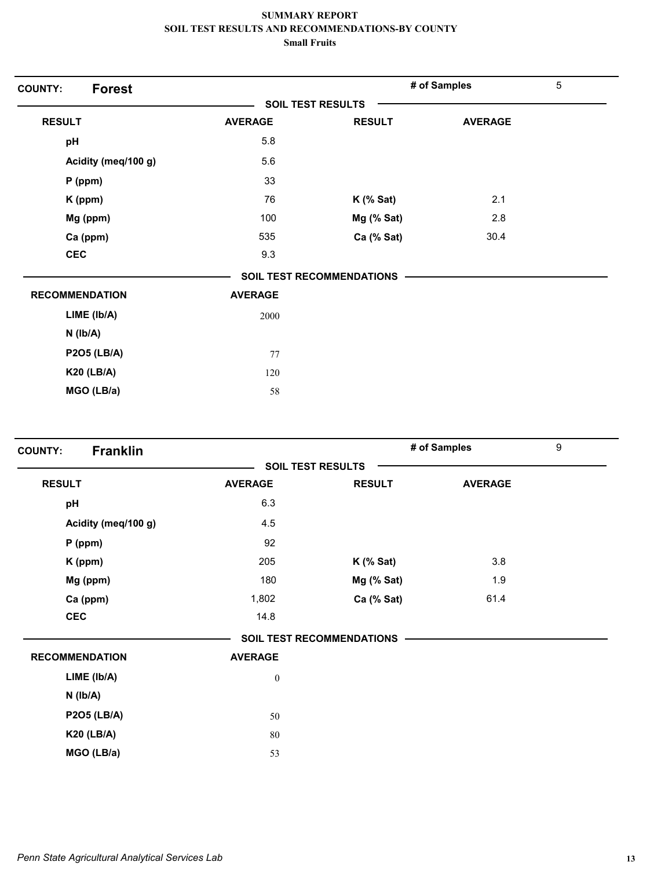| <b>Forest</b><br><b>COUNTY:</b> |                |                                  | # of Samples   | 5 |
|---------------------------------|----------------|----------------------------------|----------------|---|
|                                 |                | <b>SOIL TEST RESULTS</b>         |                |   |
| <b>RESULT</b>                   | <b>AVERAGE</b> | <b>RESULT</b>                    | <b>AVERAGE</b> |   |
| pH                              | 5.8            |                                  |                |   |
| Acidity (meq/100 g)             | 5.6            |                                  |                |   |
| $P$ (ppm)                       | 33             |                                  |                |   |
| K (ppm)                         | 76             | $K$ (% Sat)                      | 2.1            |   |
| Mg (ppm)                        | 100            | Mg (% Sat)                       | 2.8            |   |
| Ca (ppm)                        | 535            | Ca (% Sat)                       | 30.4           |   |
| <b>CEC</b>                      | 9.3            |                                  |                |   |
|                                 |                | <b>SOIL TEST RECOMMENDATIONS</b> |                |   |
| <b>RECOMMENDATION</b>           | <b>AVERAGE</b> |                                  |                |   |
| LIME (lb/A)                     | 2000           |                                  |                |   |
| $N$ ( $Ib/A$ )                  |                |                                  |                |   |
| <b>P2O5 (LB/A)</b>              | 77             |                                  |                |   |
| <b>K20 (LB/A)</b>               | 120            |                                  |                |   |
| MGO (LB/a)                      | 58             |                                  |                |   |

|                          |               |                                  | 9            |
|--------------------------|---------------|----------------------------------|--------------|
| <b>SOIL TEST RESULTS</b> |               |                                  |              |
| <b>AVERAGE</b>           | <b>RESULT</b> | <b>AVERAGE</b>                   |              |
| 6.3                      |               |                                  |              |
| 4.5                      |               |                                  |              |
| 92                       |               |                                  |              |
| 205                      | $K$ (% Sat)   | 3.8                              |              |
| 180                      | Mg (% Sat)    | 1.9                              |              |
| 1,802                    | Ca (% Sat)    | 61.4                             |              |
| 14.8                     |               |                                  |              |
|                          |               |                                  |              |
| <b>AVERAGE</b>           |               |                                  |              |
| $\boldsymbol{0}$         |               |                                  |              |
|                          |               |                                  |              |
| 50                       |               |                                  |              |
| 80                       |               |                                  |              |
| 53                       |               |                                  |              |
|                          |               | <b>SOIL TEST RECOMMENDATIONS</b> | # of Samples |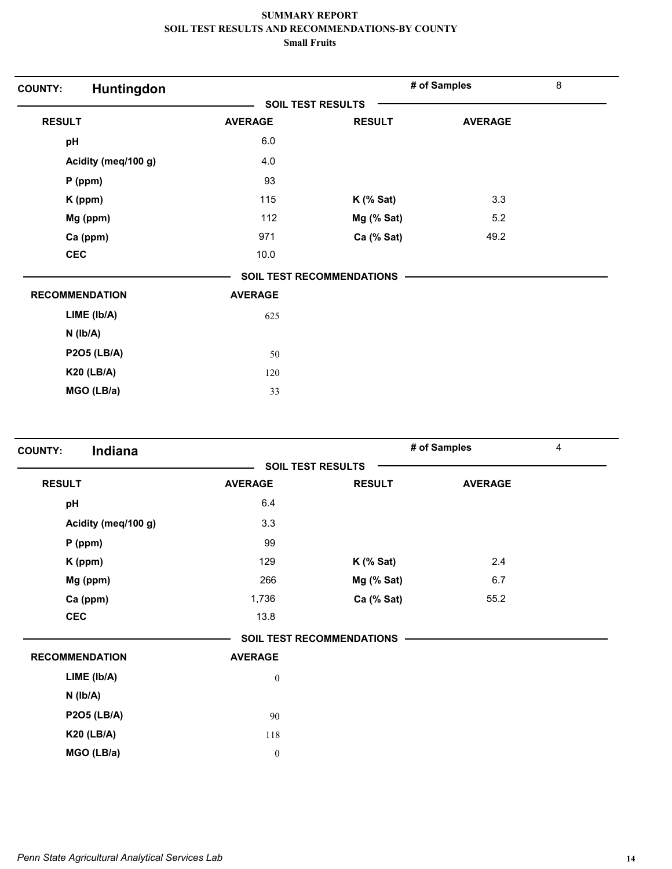| Huntingdon<br><b>COUNTY:</b> |                |                                  | # of Samples   | $\,8\,$ |
|------------------------------|----------------|----------------------------------|----------------|---------|
|                              |                | <b>SOIL TEST RESULTS</b>         |                |         |
| <b>RESULT</b>                | <b>AVERAGE</b> | <b>RESULT</b>                    | <b>AVERAGE</b> |         |
| pH                           | 6.0            |                                  |                |         |
| Acidity (meq/100 g)          | 4.0            |                                  |                |         |
| $P$ (ppm)                    | 93             |                                  |                |         |
| K (ppm)                      | 115            | $K$ (% Sat)                      | 3.3            |         |
| Mg (ppm)                     | 112            | Mg (% Sat)                       | 5.2            |         |
| Ca (ppm)                     | 971            | Ca (% Sat)                       | 49.2           |         |
| <b>CEC</b>                   | 10.0           |                                  |                |         |
|                              |                | <b>SOIL TEST RECOMMENDATIONS</b> |                |         |
| <b>RECOMMENDATION</b>        | <b>AVERAGE</b> |                                  |                |         |
| LIME (lb/A)                  | 625            |                                  |                |         |
| $N$ ( $Ib/A$ )               |                |                                  |                |         |
| <b>P2O5 (LB/A)</b>           | 50             |                                  |                |         |
| <b>K20 (LB/A)</b>            | 120            |                                  |                |         |
| MGO (LB/a)                   | 33             |                                  |                |         |

| Indiana<br><b>COUNTY:</b> |                  |                                  | # of Samples   | $\overline{4}$ |
|---------------------------|------------------|----------------------------------|----------------|----------------|
|                           |                  | <b>SOIL TEST RESULTS</b>         |                |                |
| <b>RESULT</b>             | <b>AVERAGE</b>   | <b>RESULT</b>                    | <b>AVERAGE</b> |                |
| pH                        | 6.4              |                                  |                |                |
| Acidity (meq/100 g)       | 3.3              |                                  |                |                |
| $P$ (ppm)                 | 99               |                                  |                |                |
| K (ppm)                   | 129              | $K$ (% Sat)                      | 2.4            |                |
| Mg (ppm)                  | 266              | Mg (% Sat)                       | 6.7            |                |
| Ca (ppm)                  | 1,736            | Ca (% Sat)                       | 55.2           |                |
| <b>CEC</b>                | 13.8             |                                  |                |                |
|                           |                  | <b>SOIL TEST RECOMMENDATIONS</b> |                |                |
| <b>RECOMMENDATION</b>     | <b>AVERAGE</b>   |                                  |                |                |
| LIME (Ib/A)               | $\boldsymbol{0}$ |                                  |                |                |
| $N$ ( $Ib/A$ )            |                  |                                  |                |                |
| <b>P2O5 (LB/A)</b>        | 90               |                                  |                |                |
| <b>K20 (LB/A)</b>         | 118              |                                  |                |                |
| MGO (LB/a)                | $\boldsymbol{0}$ |                                  |                |                |
|                           |                  |                                  |                |                |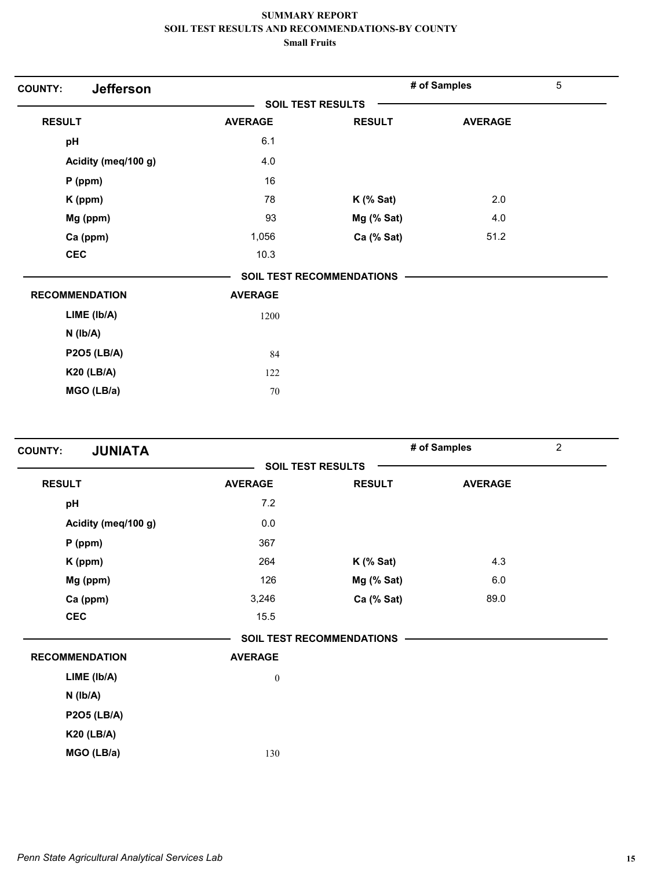| <b>Jefferson</b><br><b>COUNTY:</b> |                          |                                  | # of Samples   | $\overline{5}$ |
|------------------------------------|--------------------------|----------------------------------|----------------|----------------|
|                                    | <b>SOIL TEST RESULTS</b> |                                  |                |                |
| <b>RESULT</b>                      | <b>AVERAGE</b>           | <b>RESULT</b>                    | <b>AVERAGE</b> |                |
| pH                                 | 6.1                      |                                  |                |                |
| Acidity (meq/100 g)                | 4.0                      |                                  |                |                |
| $P$ (ppm)                          | 16                       |                                  |                |                |
| K (ppm)                            | 78                       | $K$ (% Sat)                      | 2.0            |                |
| Mg (ppm)                           | 93                       | Mg (% Sat)                       | 4.0            |                |
| Ca (ppm)                           | 1,056                    | Ca (% Sat)                       | 51.2           |                |
| <b>CEC</b>                         | 10.3                     |                                  |                |                |
|                                    |                          | <b>SOIL TEST RECOMMENDATIONS</b> |                |                |
| <b>RECOMMENDATION</b>              | <b>AVERAGE</b>           |                                  |                |                |
| LIME (lb/A)                        | 1200                     |                                  |                |                |
| $N$ ( $Ib/A$ )                     |                          |                                  |                |                |
| <b>P2O5 (LB/A)</b>                 | 84                       |                                  |                |                |
| <b>K20 (LB/A)</b>                  | 122                      |                                  |                |                |
| MGO (LB/a)                         | 70                       |                                  |                |                |

| <b>JUNIATA</b><br><b>COUNTY:</b> |                          |                                  | # of Samples   | $\overline{2}$ |
|----------------------------------|--------------------------|----------------------------------|----------------|----------------|
|                                  | <b>SOIL TEST RESULTS</b> |                                  |                |                |
| <b>RESULT</b>                    | <b>AVERAGE</b>           | <b>RESULT</b>                    | <b>AVERAGE</b> |                |
| pH                               | 7.2                      |                                  |                |                |
| Acidity (meq/100 g)              | $0.0\,$                  |                                  |                |                |
| $P$ (ppm)                        | 367                      |                                  |                |                |
| K (ppm)                          | 264                      | $K$ (% Sat)                      | 4.3            |                |
| Mg (ppm)                         | 126                      | Mg (% Sat)                       | 6.0            |                |
| Ca (ppm)                         | 3,246                    | Ca (% Sat)                       | 89.0           |                |
| <b>CEC</b>                       | 15.5                     |                                  |                |                |
|                                  |                          | <b>SOIL TEST RECOMMENDATIONS</b> |                |                |
| <b>RECOMMENDATION</b>            | <b>AVERAGE</b>           |                                  |                |                |
| LIME (Ib/A)                      | $\boldsymbol{0}$         |                                  |                |                |
| $N$ ( $lb/A$ )                   |                          |                                  |                |                |
| <b>P2O5 (LB/A)</b>               |                          |                                  |                |                |
| <b>K20 (LB/A)</b>                |                          |                                  |                |                |
| MGO (LB/a)                       | 130                      |                                  |                |                |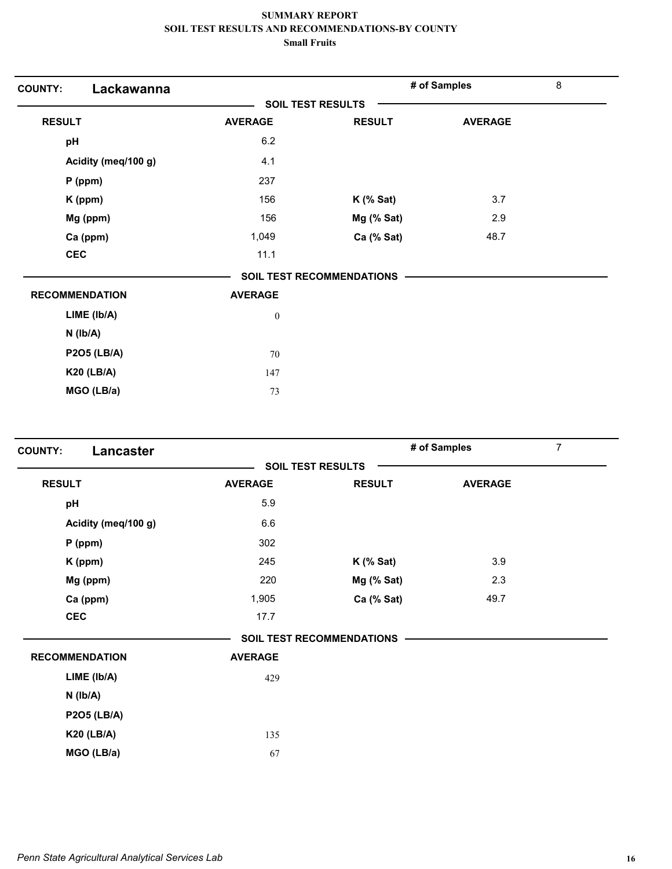| Lackawanna<br><b>COUNTY:</b> |                          |                                  | # of Samples   | $\bf 8$ |
|------------------------------|--------------------------|----------------------------------|----------------|---------|
|                              | <b>SOIL TEST RESULTS</b> |                                  |                |         |
| <b>RESULT</b>                | <b>AVERAGE</b>           | <b>RESULT</b>                    | <b>AVERAGE</b> |         |
| pH                           | 6.2                      |                                  |                |         |
| Acidity (meq/100 g)          | 4.1                      |                                  |                |         |
| $P$ (ppm)                    | 237                      |                                  |                |         |
| K (ppm)                      | 156                      | $K$ (% Sat)                      | 3.7            |         |
| Mg (ppm)                     | 156                      | Mg (% Sat)                       | 2.9            |         |
| Ca (ppm)                     | 1,049                    | Ca (% Sat)                       | 48.7           |         |
| <b>CEC</b>                   | 11.1                     |                                  |                |         |
|                              |                          | <b>SOIL TEST RECOMMENDATIONS</b> |                |         |
| <b>RECOMMENDATION</b>        | <b>AVERAGE</b>           |                                  |                |         |
| LIME (Ib/A)                  | $\boldsymbol{0}$         |                                  |                |         |
| $N$ ( $Ib/A$ )               |                          |                                  |                |         |
| <b>P2O5 (LB/A)</b>           | 70                       |                                  |                |         |
| <b>K20 (LB/A)</b>            | 147                      |                                  |                |         |
| MGO (LB/a)                   | 73                       |                                  |                |         |

| <b>COUNTY:</b><br>Lancaster |                          |                           | $\overline{7}$<br># of Samples |  |  |
|-----------------------------|--------------------------|---------------------------|--------------------------------|--|--|
|                             | <b>SOIL TEST RESULTS</b> |                           |                                |  |  |
| <b>RESULT</b>               | <b>AVERAGE</b>           | <b>RESULT</b>             | <b>AVERAGE</b>                 |  |  |
| pH                          | 5.9                      |                           |                                |  |  |
| Acidity (meq/100 g)         | 6.6                      |                           |                                |  |  |
| $P$ (ppm)                   | 302                      |                           |                                |  |  |
| K (ppm)                     | 245                      | $K$ (% Sat)               | 3.9                            |  |  |
| Mg (ppm)                    | 220                      | Mg (% Sat)                | 2.3                            |  |  |
| Ca (ppm)                    | 1,905                    | Ca (% Sat)                | 49.7                           |  |  |
| <b>CEC</b>                  | 17.7                     |                           |                                |  |  |
|                             |                          | SOIL TEST RECOMMENDATIONS |                                |  |  |
| <b>RECOMMENDATION</b>       | <b>AVERAGE</b>           |                           |                                |  |  |
| LIME (lb/A)                 | 429                      |                           |                                |  |  |
| $N$ ( $lb/A$ )              |                          |                           |                                |  |  |
| <b>P2O5 (LB/A)</b>          |                          |                           |                                |  |  |
| <b>K20 (LB/A)</b>           | 135                      |                           |                                |  |  |
| MGO (LB/a)                  | 67                       |                           |                                |  |  |
|                             |                          |                           |                                |  |  |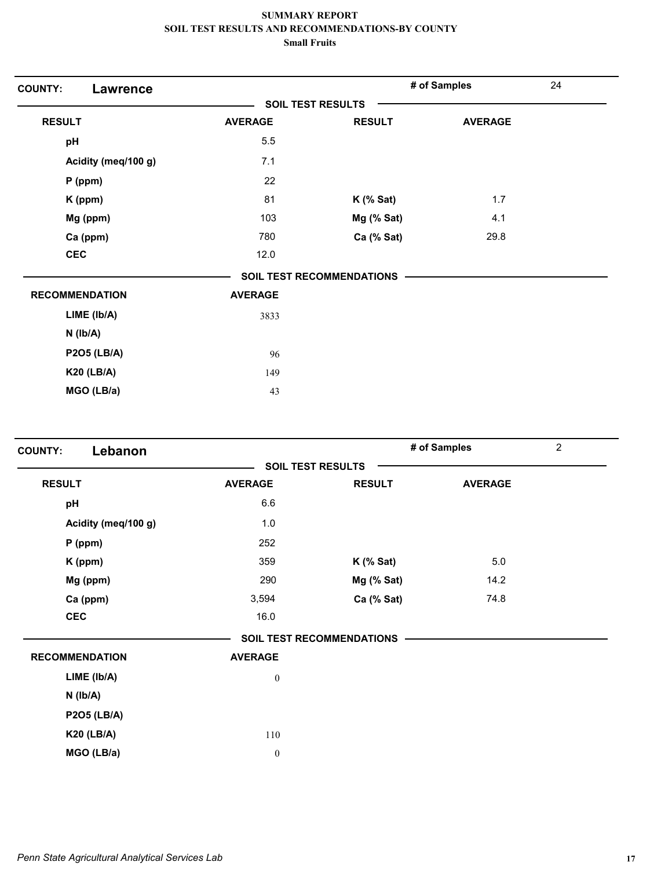| <b>COUNTY:</b><br><b>Lawrence</b> |                |                                  | # of Samples   | 24 |
|-----------------------------------|----------------|----------------------------------|----------------|----|
|                                   |                | <b>SOIL TEST RESULTS</b>         |                |    |
| <b>RESULT</b>                     | <b>AVERAGE</b> | <b>RESULT</b>                    | <b>AVERAGE</b> |    |
| pH                                | 5.5            |                                  |                |    |
| Acidity (meq/100 g)               | 7.1            |                                  |                |    |
| $P$ (ppm)                         | 22             |                                  |                |    |
| K (ppm)                           | 81             | $K$ (% Sat)                      | 1.7            |    |
| Mg (ppm)                          | 103            | Mg (% Sat)                       | 4.1            |    |
| Ca (ppm)                          | 780            | Ca (% Sat)                       | 29.8           |    |
| <b>CEC</b>                        | 12.0           |                                  |                |    |
|                                   |                | <b>SOIL TEST RECOMMENDATIONS</b> |                |    |
| <b>RECOMMENDATION</b>             | <b>AVERAGE</b> |                                  |                |    |
| LIME (Ib/A)                       | 3833           |                                  |                |    |
| $N$ ( $lb/A$ )                    |                |                                  |                |    |
| <b>P2O5 (LB/A)</b>                | 96             |                                  |                |    |
| <b>K20 (LB/A)</b>                 | 149            |                                  |                |    |
| MGO (LB/a)                        | 43             |                                  |                |    |

| Lebanon<br><b>COUNTY:</b> |                          |                                  | # of Samples   | $\overline{2}$ |
|---------------------------|--------------------------|----------------------------------|----------------|----------------|
|                           | <b>SOIL TEST RESULTS</b> |                                  |                |                |
| <b>RESULT</b>             | <b>AVERAGE</b>           | <b>RESULT</b>                    | <b>AVERAGE</b> |                |
| pH                        | 6.6                      |                                  |                |                |
| Acidity (meq/100 g)       | 1.0                      |                                  |                |                |
| $P$ (ppm)                 | 252                      |                                  |                |                |
| K (ppm)                   | 359                      | $K$ (% Sat)                      | 5.0            |                |
| Mg (ppm)                  | 290                      | Mg (% Sat)                       | 14.2           |                |
| Ca (ppm)                  | 3,594                    | Ca (% Sat)                       | 74.8           |                |
| <b>CEC</b>                | 16.0                     |                                  |                |                |
|                           |                          | <b>SOIL TEST RECOMMENDATIONS</b> |                |                |
| <b>RECOMMENDATION</b>     | <b>AVERAGE</b>           |                                  |                |                |
| LIME (lb/A)               | $\boldsymbol{0}$         |                                  |                |                |
| $N$ ( $lb/A$ )            |                          |                                  |                |                |
| <b>P2O5 (LB/A)</b>        |                          |                                  |                |                |
| <b>K20 (LB/A)</b>         | 110                      |                                  |                |                |
| MGO (LB/a)                | $\boldsymbol{0}$         |                                  |                |                |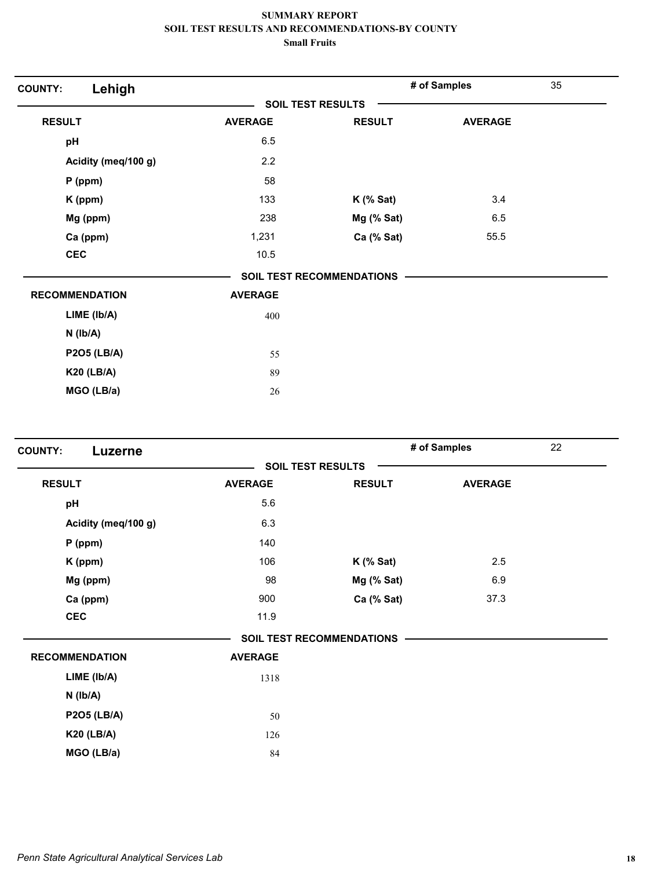| Lehigh<br><b>COUNTY:</b> |                |                           | # of Samples   | 35 |
|--------------------------|----------------|---------------------------|----------------|----|
|                          |                | <b>SOIL TEST RESULTS</b>  |                |    |
| <b>RESULT</b>            | <b>AVERAGE</b> | <b>RESULT</b>             | <b>AVERAGE</b> |    |
| pH                       | 6.5            |                           |                |    |
| Acidity (meq/100 g)      | 2.2            |                           |                |    |
| $P$ (ppm)                | 58             |                           |                |    |
| K (ppm)                  | 133            | $K$ (% Sat)               | 3.4            |    |
| Mg (ppm)                 | 238            | Mg (% Sat)                | 6.5            |    |
| Ca (ppm)                 | 1,231          | Ca (% Sat)                | 55.5           |    |
| <b>CEC</b>               | 10.5           |                           |                |    |
|                          |                | SOIL TEST RECOMMENDATIONS |                |    |
| <b>RECOMMENDATION</b>    | <b>AVERAGE</b> |                           |                |    |
| LIME (lb/A)              | 400            |                           |                |    |
| $N$ ( $Ib/A$ )           |                |                           |                |    |
| <b>P2O5 (LB/A)</b>       | 55             |                           |                |    |
| <b>K20 (LB/A)</b>        | 89             |                           |                |    |
| MGO (LB/a)               | 26             |                           |                |    |

| <b>COUNTY:</b><br>Luzerne |                |                                  | # of Samples   | 22 |
|---------------------------|----------------|----------------------------------|----------------|----|
|                           |                | <b>SOIL TEST RESULTS</b>         |                |    |
| <b>RESULT</b>             | <b>AVERAGE</b> | <b>RESULT</b>                    | <b>AVERAGE</b> |    |
| pH                        | 5.6            |                                  |                |    |
| Acidity (meq/100 g)       | 6.3            |                                  |                |    |
| $P$ (ppm)                 | 140            |                                  |                |    |
| K (ppm)                   | 106            | $K$ (% Sat)                      | 2.5            |    |
| Mg (ppm)                  | 98             | Mg (% Sat)                       | 6.9            |    |
| Ca (ppm)                  | 900            | Ca (% Sat)                       | 37.3           |    |
| <b>CEC</b>                | 11.9           |                                  |                |    |
|                           |                | <b>SOIL TEST RECOMMENDATIONS</b> |                |    |
| <b>RECOMMENDATION</b>     | <b>AVERAGE</b> |                                  |                |    |
| LIME (Ib/A)               | 1318           |                                  |                |    |
| $N$ ( $Ib/A$ )            |                |                                  |                |    |
| <b>P2O5 (LB/A)</b>        | 50             |                                  |                |    |
| <b>K20 (LB/A)</b>         | 126            |                                  |                |    |
| MGO (LB/a)                | 84             |                                  |                |    |
|                           |                |                                  |                |    |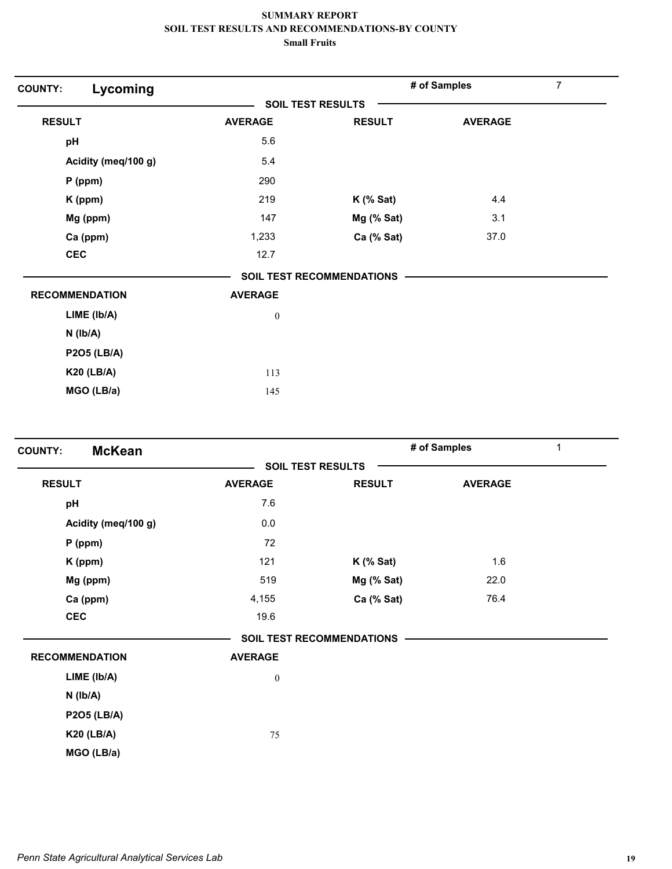| Lycoming<br><b>COUNTY:</b> |                          |                                  | # of Samples   | 7 |
|----------------------------|--------------------------|----------------------------------|----------------|---|
|                            | <b>SOIL TEST RESULTS</b> |                                  |                |   |
| <b>RESULT</b>              | <b>AVERAGE</b>           | <b>RESULT</b>                    | <b>AVERAGE</b> |   |
| pH                         | 5.6                      |                                  |                |   |
| Acidity (meq/100 g)        | 5.4                      |                                  |                |   |
| $P$ (ppm)                  | 290                      |                                  |                |   |
| K (ppm)                    | 219                      | $K$ (% Sat)                      | 4.4            |   |
| Mg (ppm)                   | 147                      | Mg (% Sat)                       | 3.1            |   |
| Ca (ppm)                   | 1,233                    | Ca (% Sat)                       | 37.0           |   |
| <b>CEC</b>                 | 12.7                     |                                  |                |   |
|                            |                          | <b>SOIL TEST RECOMMENDATIONS</b> |                |   |
| <b>RECOMMENDATION</b>      | <b>AVERAGE</b>           |                                  |                |   |
| LIME (Ib/A)                | $\boldsymbol{0}$         |                                  |                |   |
| $N$ ( $lb/A$ )             |                          |                                  |                |   |
| <b>P2O5 (LB/A)</b>         |                          |                                  |                |   |
| <b>K20 (LB/A)</b>          | 113                      |                                  |                |   |
| MGO (LB/a)                 | 145                      |                                  |                |   |

| <b>McKean</b><br><b>COUNTY:</b> |                  |                                  | # of Samples   | 1 |
|---------------------------------|------------------|----------------------------------|----------------|---|
|                                 |                  | <b>SOIL TEST RESULTS</b>         |                |   |
| <b>RESULT</b>                   | <b>AVERAGE</b>   | <b>RESULT</b>                    | <b>AVERAGE</b> |   |
| pH                              | 7.6              |                                  |                |   |
| Acidity (meq/100 g)             | 0.0              |                                  |                |   |
| $P$ (ppm)                       | 72               |                                  |                |   |
| K (ppm)                         | 121              | $K$ (% Sat)                      | 1.6            |   |
| Mg (ppm)                        | 519              | Mg (% Sat)                       | 22.0           |   |
| Ca (ppm)                        | 4,155            | Ca (% Sat)                       | 76.4           |   |
| <b>CEC</b>                      | 19.6             |                                  |                |   |
|                                 |                  | <b>SOIL TEST RECOMMENDATIONS</b> |                |   |
| <b>RECOMMENDATION</b>           | <b>AVERAGE</b>   |                                  |                |   |
| LIME (lb/A)                     | $\boldsymbol{0}$ |                                  |                |   |
| $N$ ( $lb/A$ )                  |                  |                                  |                |   |
| <b>P2O5 (LB/A)</b>              |                  |                                  |                |   |
| <b>K20 (LB/A)</b>               | 75               |                                  |                |   |
| MGO (LB/a)                      |                  |                                  |                |   |
|                                 |                  |                                  |                |   |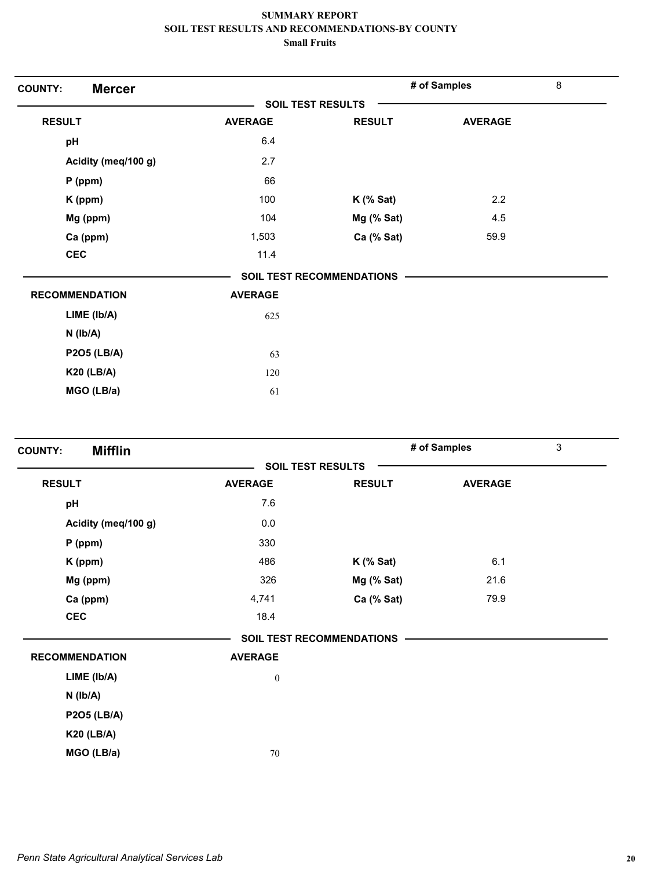| <b>Mercer</b><br><b>COUNTY:</b> |                |                                  | # of Samples   | 8 |
|---------------------------------|----------------|----------------------------------|----------------|---|
|                                 |                | <b>SOIL TEST RESULTS</b>         |                |   |
| <b>RESULT</b>                   | <b>AVERAGE</b> | <b>RESULT</b>                    | <b>AVERAGE</b> |   |
| pH                              | 6.4            |                                  |                |   |
| Acidity (meq/100 g)             | 2.7            |                                  |                |   |
| $P$ (ppm)                       | 66             |                                  |                |   |
| K (ppm)                         | 100            | $K$ (% Sat)                      | 2.2            |   |
| Mg (ppm)                        | 104            | Mg (% Sat)                       | 4.5            |   |
| Ca (ppm)                        | 1,503          | Ca (% Sat)                       | 59.9           |   |
| <b>CEC</b>                      | 11.4           |                                  |                |   |
|                                 |                | <b>SOIL TEST RECOMMENDATIONS</b> |                |   |
| <b>RECOMMENDATION</b>           | <b>AVERAGE</b> |                                  |                |   |
| LIME (Ib/A)                     | 625            |                                  |                |   |
| $N$ ( $lb/A$ )                  |                |                                  |                |   |
| <b>P2O5 (LB/A)</b>              | 63             |                                  |                |   |
| <b>K20 (LB/A)</b>               | 120            |                                  |                |   |
| MGO (LB/a)                      | 61             |                                  |                |   |

| <b>Mifflin</b><br><b>COUNTY:</b> |                  |                           | # of Samples   | 3 |
|----------------------------------|------------------|---------------------------|----------------|---|
|                                  |                  | <b>SOIL TEST RESULTS</b>  |                |   |
| <b>RESULT</b>                    | <b>AVERAGE</b>   | <b>RESULT</b>             | <b>AVERAGE</b> |   |
| pH                               | 7.6              |                           |                |   |
| Acidity (meq/100 g)              | 0.0              |                           |                |   |
| $P$ (ppm)                        | 330              |                           |                |   |
| K (ppm)                          | 486              | $K$ (% Sat)               | 6.1            |   |
| Mg (ppm)                         | 326              | Mg (% Sat)                | 21.6           |   |
| Ca (ppm)                         | 4,741            | Ca (% Sat)                | 79.9           |   |
| CEC                              | 18.4             |                           |                |   |
|                                  |                  | SOIL TEST RECOMMENDATIONS |                |   |
| <b>RECOMMENDATION</b>            | <b>AVERAGE</b>   |                           |                |   |
| LIME (Ib/A)                      | $\boldsymbol{0}$ |                           |                |   |
| $N$ ( $Ib/A$ )                   |                  |                           |                |   |
| <b>P2O5 (LB/A)</b>               |                  |                           |                |   |
| <b>K20 (LB/A)</b>                |                  |                           |                |   |
| MGO (LB/a)                       | 70               |                           |                |   |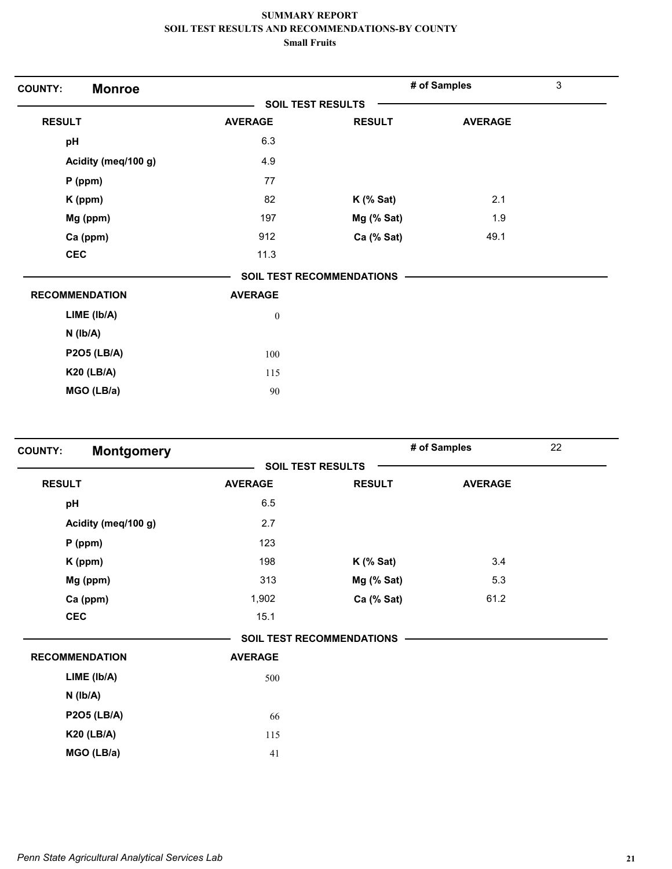| <b>Monroe</b><br><b>COUNTY:</b> |                          |                                  | # of Samples   | $\mathbf{3}$ |
|---------------------------------|--------------------------|----------------------------------|----------------|--------------|
|                                 | <b>SOIL TEST RESULTS</b> |                                  |                |              |
| <b>RESULT</b>                   | <b>AVERAGE</b>           | <b>RESULT</b>                    | <b>AVERAGE</b> |              |
| pH                              | 6.3                      |                                  |                |              |
| Acidity (meq/100 g)             | 4.9                      |                                  |                |              |
| $P$ (ppm)                       | 77                       |                                  |                |              |
| K (ppm)                         | 82                       | $K$ (% Sat)                      | 2.1            |              |
| Mg (ppm)                        | 197                      | Mg (% Sat)                       | 1.9            |              |
| Ca (ppm)                        | 912                      | Ca (% Sat)                       | 49.1           |              |
| <b>CEC</b>                      | 11.3                     |                                  |                |              |
|                                 |                          | <b>SOIL TEST RECOMMENDATIONS</b> |                |              |
| <b>RECOMMENDATION</b>           | <b>AVERAGE</b>           |                                  |                |              |
| LIME (Ib/A)                     | $\boldsymbol{0}$         |                                  |                |              |
| $N$ ( $lb/A$ )                  |                          |                                  |                |              |
| <b>P2O5 (LB/A)</b>              | 100                      |                                  |                |              |
| <b>K20 (LB/A)</b>               | 115                      |                                  |                |              |
| MGO (LB/a)                      | 90                       |                                  |                |              |

| <b>Montgomery</b><br><b>COUNTY:</b> |                |                                  | # of Samples   | 22 |
|-------------------------------------|----------------|----------------------------------|----------------|----|
|                                     |                | <b>SOIL TEST RESULTS</b>         |                |    |
| <b>RESULT</b>                       | <b>AVERAGE</b> | <b>RESULT</b>                    | <b>AVERAGE</b> |    |
| pH                                  | 6.5            |                                  |                |    |
| Acidity (meq/100 g)                 | 2.7            |                                  |                |    |
| $P$ (ppm)                           | 123            |                                  |                |    |
| K (ppm)                             | 198            | $K$ (% Sat)                      | 3.4            |    |
| Mg (ppm)                            | 313            | Mg (% Sat)                       | 5.3            |    |
| Ca (ppm)                            | 1,902          | Ca (% Sat)                       | 61.2           |    |
| <b>CEC</b>                          | 15.1           |                                  |                |    |
|                                     |                | <b>SOIL TEST RECOMMENDATIONS</b> |                |    |
| <b>RECOMMENDATION</b>               | <b>AVERAGE</b> |                                  |                |    |
| LIME (Ib/A)                         | 500            |                                  |                |    |
| $N$ ( $Ib/A$ )                      |                |                                  |                |    |
| <b>P2O5 (LB/A)</b>                  | 66             |                                  |                |    |
| <b>K20 (LB/A)</b>                   | 115            |                                  |                |    |
| MGO (LB/a)                          | 41             |                                  |                |    |
|                                     |                |                                  |                |    |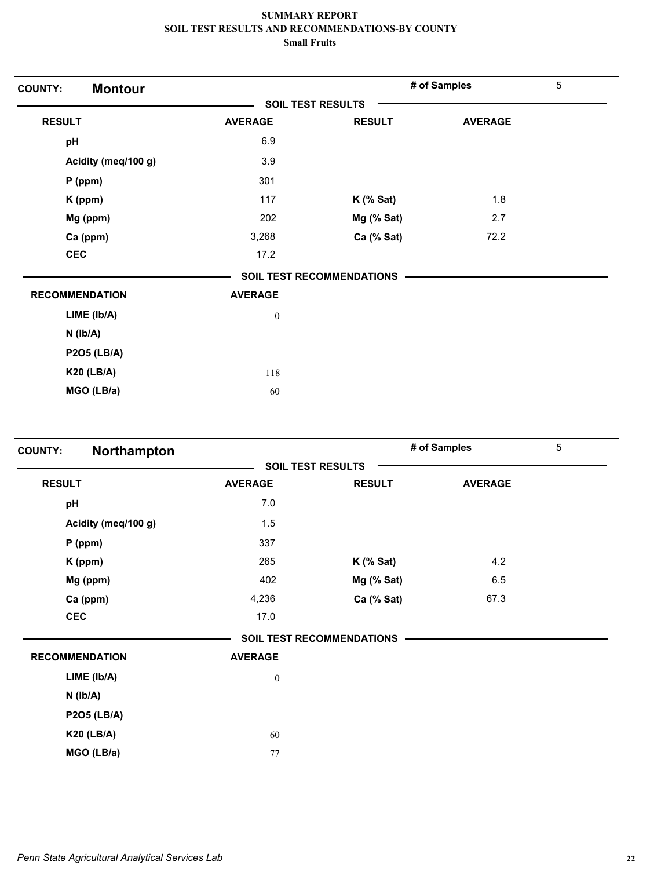| <b>Montour</b><br><b>COUNTY:</b> |                          |                           | # of Samples   | $5\phantom{.0}$ |
|----------------------------------|--------------------------|---------------------------|----------------|-----------------|
|                                  | <b>SOIL TEST RESULTS</b> |                           |                |                 |
| <b>RESULT</b>                    | <b>AVERAGE</b>           | <b>RESULT</b>             | <b>AVERAGE</b> |                 |
| pH                               | 6.9                      |                           |                |                 |
| Acidity (meq/100 g)              | 3.9                      |                           |                |                 |
| P (ppm)                          | 301                      |                           |                |                 |
| K (ppm)                          | 117                      | $K$ (% Sat)               | 1.8            |                 |
| Mg (ppm)                         | 202                      | Mg (% Sat)                | 2.7            |                 |
| Ca (ppm)                         | 3,268                    | Ca (% Sat)                | 72.2           |                 |
| <b>CEC</b>                       | 17.2                     |                           |                |                 |
|                                  |                          | SOIL TEST RECOMMENDATIONS |                |                 |
| <b>RECOMMENDATION</b>            | <b>AVERAGE</b>           |                           |                |                 |
| LIME (lb/A)                      | $\boldsymbol{0}$         |                           |                |                 |
| $N$ ( $lb/A$ )                   |                          |                           |                |                 |
| <b>P2O5 (LB/A)</b>               |                          |                           |                |                 |
| <b>K20 (LB/A)</b>                | 118                      |                           |                |                 |
| MGO (LB/a)                       | 60                       |                           |                |                 |

| Northampton<br><b>COUNTY:</b> |                  |                           | # of Samples   | 5 |
|-------------------------------|------------------|---------------------------|----------------|---|
|                               |                  | <b>SOIL TEST RESULTS</b>  |                |   |
| <b>RESULT</b>                 | <b>AVERAGE</b>   | <b>RESULT</b>             | <b>AVERAGE</b> |   |
| pH                            | 7.0              |                           |                |   |
| Acidity (meq/100 g)           | 1.5              |                           |                |   |
| $P$ (ppm)                     | 337              |                           |                |   |
| K (ppm)                       | 265              | $K$ (% Sat)               | 4.2            |   |
| Mg (ppm)                      | 402              | Mg (% Sat)                | 6.5            |   |
| Ca (ppm)                      | 4,236            | Ca (% Sat)                | 67.3           |   |
| <b>CEC</b>                    | 17.0             |                           |                |   |
|                               |                  | SOIL TEST RECOMMENDATIONS |                |   |
| <b>RECOMMENDATION</b>         | <b>AVERAGE</b>   |                           |                |   |
| LIME (lb/A)                   | $\boldsymbol{0}$ |                           |                |   |
| $N$ ( $lb/A$ )                |                  |                           |                |   |
| <b>P2O5 (LB/A)</b>            |                  |                           |                |   |
| <b>K20 (LB/A)</b>             | 60               |                           |                |   |
| MGO (LB/a)                    | 77               |                           |                |   |
|                               |                  |                           |                |   |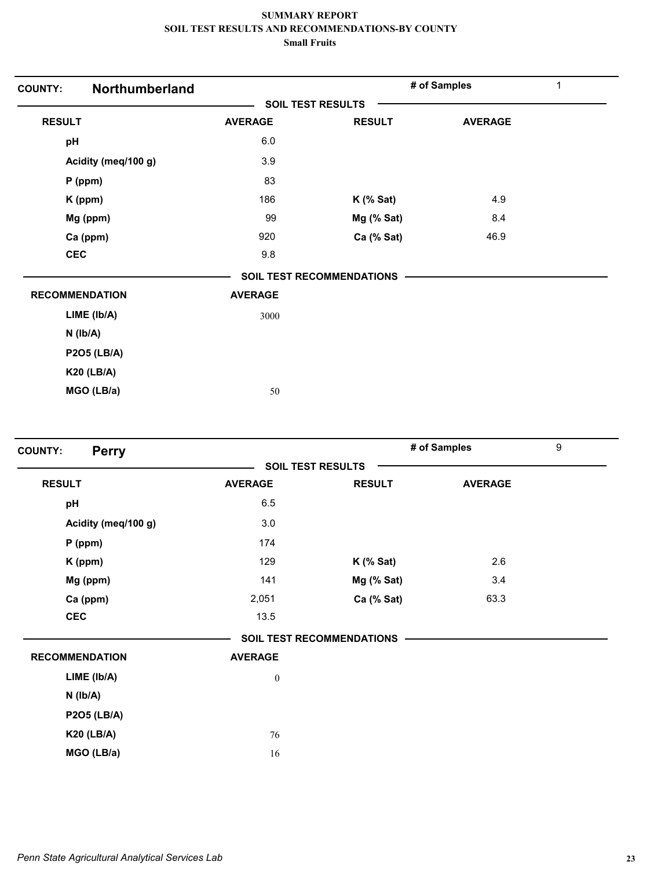| <b>COUNTY:</b> | Northumberland        |                |                                  | # of Samples   | 1 |
|----------------|-----------------------|----------------|----------------------------------|----------------|---|
|                |                       |                | <b>SOIL TEST RESULTS</b>         |                |   |
| <b>RESULT</b>  |                       | <b>AVERAGE</b> | <b>RESULT</b>                    | <b>AVERAGE</b> |   |
| pH             |                       | 6.0            |                                  |                |   |
|                | Acidity (meq/100 g)   | 3.9            |                                  |                |   |
|                | $P$ (ppm)             | 83             |                                  |                |   |
|                | K (ppm)               | 186            | $K$ (% Sat)                      | 4.9            |   |
|                | Mg (ppm)              | 99             | Mg (% Sat)                       | 8.4            |   |
|                | Ca (ppm)              | 920            | Ca (% Sat)                       | 46.9           |   |
| <b>CEC</b>     |                       | 9.8            |                                  |                |   |
|                |                       |                | <b>SOIL TEST RECOMMENDATIONS</b> |                |   |
|                | <b>RECOMMENDATION</b> | <b>AVERAGE</b> |                                  |                |   |
|                | LIME (Ib/A)           | 3000           |                                  |                |   |
|                | $N$ ( $lb/A$ )        |                |                                  |                |   |
|                | <b>P2O5 (LB/A)</b>    |                |                                  |                |   |
|                | <b>K20 (LB/A)</b>     |                |                                  |                |   |
|                | MGO (LB/a)            | 50             |                                  |                |   |
|                |                       |                |                                  |                |   |

| <b>Perry</b><br><b>COUNTY:</b> |                  |                           | # of Samples   | 9 |
|--------------------------------|------------------|---------------------------|----------------|---|
|                                |                  | <b>SOIL TEST RESULTS</b>  |                |   |
| <b>RESULT</b>                  | <b>AVERAGE</b>   | <b>RESULT</b>             | <b>AVERAGE</b> |   |
| pH                             | 6.5              |                           |                |   |
| Acidity (meq/100 g)            | 3.0              |                           |                |   |
| $P$ (ppm)                      | 174              |                           |                |   |
| K (ppm)                        | 129              | $K$ (% Sat)               | 2.6            |   |
| Mg (ppm)                       | 141              | Mg (% Sat)                | 3.4            |   |
| Ca (ppm)                       | 2,051            | Ca (% Sat)                | 63.3           |   |
| <b>CEC</b>                     | 13.5             |                           |                |   |
|                                |                  | SOIL TEST RECOMMENDATIONS |                |   |
| <b>RECOMMENDATION</b>          | <b>AVERAGE</b>   |                           |                |   |
| LIME (lb/A)                    | $\boldsymbol{0}$ |                           |                |   |
| $N$ ( $Ib/A$ )                 |                  |                           |                |   |
| <b>P2O5 (LB/A)</b>             |                  |                           |                |   |
| <b>K20 (LB/A)</b>              | 76               |                           |                |   |
| MGO (LB/a)                     | 16               |                           |                |   |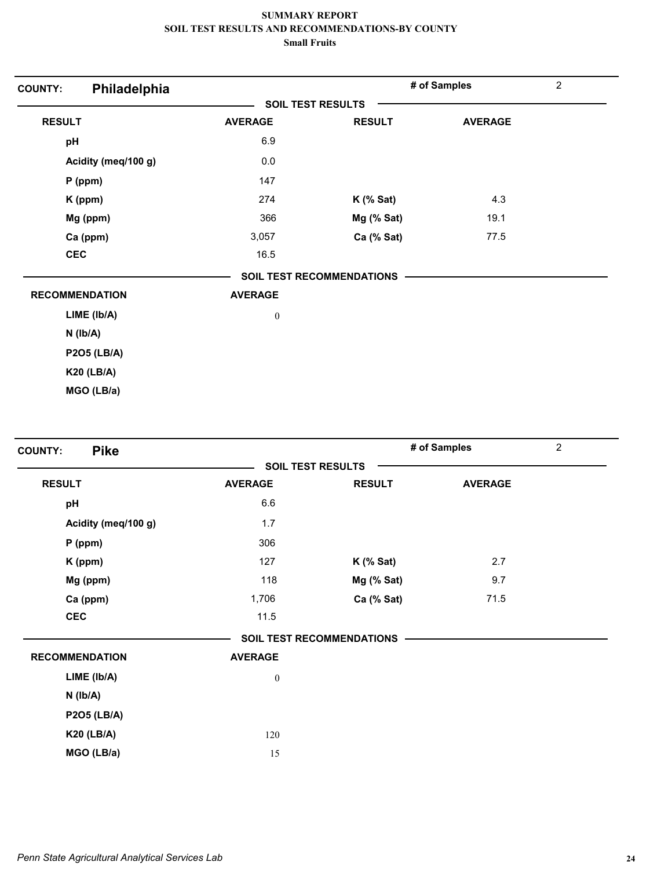| Philadelphia<br><b>COUNTY:</b> |                  |                                  | # of Samples   | $\overline{2}$ |
|--------------------------------|------------------|----------------------------------|----------------|----------------|
|                                |                  | <b>SOIL TEST RESULTS</b>         |                |                |
| <b>RESULT</b>                  | <b>AVERAGE</b>   | <b>RESULT</b>                    | <b>AVERAGE</b> |                |
| pH                             | 6.9              |                                  |                |                |
| Acidity (meq/100 g)            | 0.0              |                                  |                |                |
| $P$ (ppm)                      | 147              |                                  |                |                |
| K (ppm)                        | 274              | $K$ (% Sat)                      | 4.3            |                |
| Mg (ppm)                       | 366              | Mg (% Sat)                       | 19.1           |                |
| Ca (ppm)                       | 3,057            | Ca (% Sat)                       | 77.5           |                |
| <b>CEC</b>                     | 16.5             |                                  |                |                |
|                                |                  | <b>SOIL TEST RECOMMENDATIONS</b> |                |                |
| <b>RECOMMENDATION</b>          | <b>AVERAGE</b>   |                                  |                |                |
| $LIME$ ( $lb/A$ )              | $\boldsymbol{0}$ |                                  |                |                |
| $N$ ( $lb/A$ )                 |                  |                                  |                |                |
| <b>P2O5 (LB/A)</b>             |                  |                                  |                |                |
| <b>K20 (LB/A)</b>              |                  |                                  |                |                |
| MGO (LB/a)                     |                  |                                  |                |                |

| <b>Pike</b><br><b>COUNTY:</b> |                  |                                  | # of Samples   | $\overline{2}$ |
|-------------------------------|------------------|----------------------------------|----------------|----------------|
|                               |                  | <b>SOIL TEST RESULTS</b>         |                |                |
| <b>RESULT</b>                 | <b>AVERAGE</b>   | <b>RESULT</b>                    | <b>AVERAGE</b> |                |
| pH                            | 6.6              |                                  |                |                |
| Acidity (meq/100 g)           | 1.7              |                                  |                |                |
| $P$ (ppm)                     | 306              |                                  |                |                |
| K (ppm)                       | 127              | $K$ (% Sat)                      | 2.7            |                |
| Mg (ppm)                      | 118              | Mg (% Sat)                       | 9.7            |                |
| Ca (ppm)                      | 1,706            | Ca (% Sat)                       | 71.5           |                |
| <b>CEC</b>                    | 11.5             |                                  |                |                |
|                               |                  | <b>SOIL TEST RECOMMENDATIONS</b> |                |                |
| <b>RECOMMENDATION</b>         | <b>AVERAGE</b>   |                                  |                |                |
| LIME (Ib/A)                   | $\boldsymbol{0}$ |                                  |                |                |
| $N$ ( $lb/A$ )                |                  |                                  |                |                |
| <b>P2O5 (LB/A)</b>            |                  |                                  |                |                |
| <b>K20 (LB/A)</b>             | 120              |                                  |                |                |
| MGO (LB/a)                    | 15               |                                  |                |                |
|                               |                  |                                  |                |                |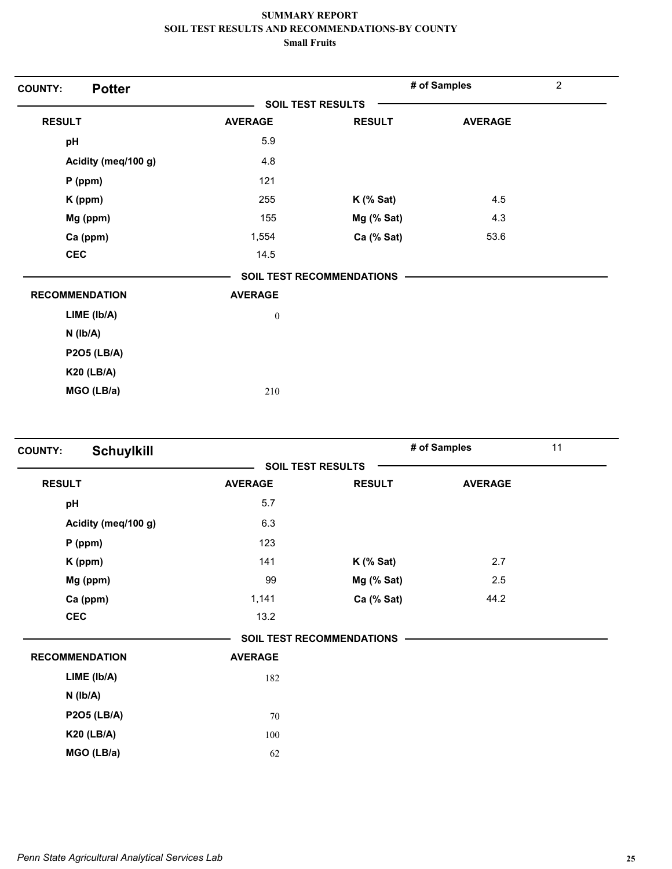| <b>Potter</b><br><b>COUNTY:</b> |                          |                           | # of Samples   | $\overline{2}$ |
|---------------------------------|--------------------------|---------------------------|----------------|----------------|
|                                 | <b>SOIL TEST RESULTS</b> |                           |                |                |
| <b>RESULT</b>                   | <b>AVERAGE</b>           | <b>RESULT</b>             | <b>AVERAGE</b> |                |
| pH                              | 5.9                      |                           |                |                |
| Acidity (meq/100 g)             | 4.8                      |                           |                |                |
| $P$ (ppm)                       | 121                      |                           |                |                |
| K (ppm)                         | 255                      | $K$ (% Sat)               | 4.5            |                |
| Mg (ppm)                        | 155                      | Mg (% Sat)                | 4.3            |                |
| Ca (ppm)                        | 1,554                    | Ca (% Sat)                | 53.6           |                |
| <b>CEC</b>                      | 14.5                     |                           |                |                |
|                                 |                          | SOIL TEST RECOMMENDATIONS |                |                |
| <b>RECOMMENDATION</b>           | <b>AVERAGE</b>           |                           |                |                |
| LIME (lb/A)                     | $\boldsymbol{0}$         |                           |                |                |
| $N$ ( $lb/A$ )                  |                          |                           |                |                |
| <b>P2O5 (LB/A)</b>              |                          |                           |                |                |
| <b>K20 (LB/A)</b>               |                          |                           |                |                |
| MGO (LB/a)                      | 210                      |                           |                |                |

| <b>COUNTY:</b>        | <b>Schuylkill</b>   |                |                                  | # of Samples   | 11 |
|-----------------------|---------------------|----------------|----------------------------------|----------------|----|
|                       |                     |                | <b>SOIL TEST RESULTS</b>         |                |    |
| <b>RESULT</b>         |                     | <b>AVERAGE</b> | <b>RESULT</b>                    | <b>AVERAGE</b> |    |
| pH                    |                     | 5.7            |                                  |                |    |
|                       | Acidity (meq/100 g) | 6.3            |                                  |                |    |
|                       | $P$ (ppm)           | 123            |                                  |                |    |
|                       | K (ppm)             | 141            | $K$ (% Sat)                      | 2.7            |    |
|                       | Mg (ppm)            | 99             | Mg (% Sat)                       | 2.5            |    |
|                       | Ca (ppm)            | 1,141          | Ca (% Sat)                       | 44.2           |    |
| <b>CEC</b>            |                     | 13.2           |                                  |                |    |
|                       |                     |                | <b>SOIL TEST RECOMMENDATIONS</b> |                |    |
| <b>RECOMMENDATION</b> |                     | <b>AVERAGE</b> |                                  |                |    |
|                       | LIME (Ib/A)         | 182            |                                  |                |    |
|                       | $N$ ( $lb/A$ )      |                |                                  |                |    |
|                       | <b>P2O5 (LB/A)</b>  | 70             |                                  |                |    |
|                       | <b>K20 (LB/A)</b>   | 100            |                                  |                |    |
|                       | MGO (LB/a)          | 62             |                                  |                |    |
|                       |                     |                |                                  |                |    |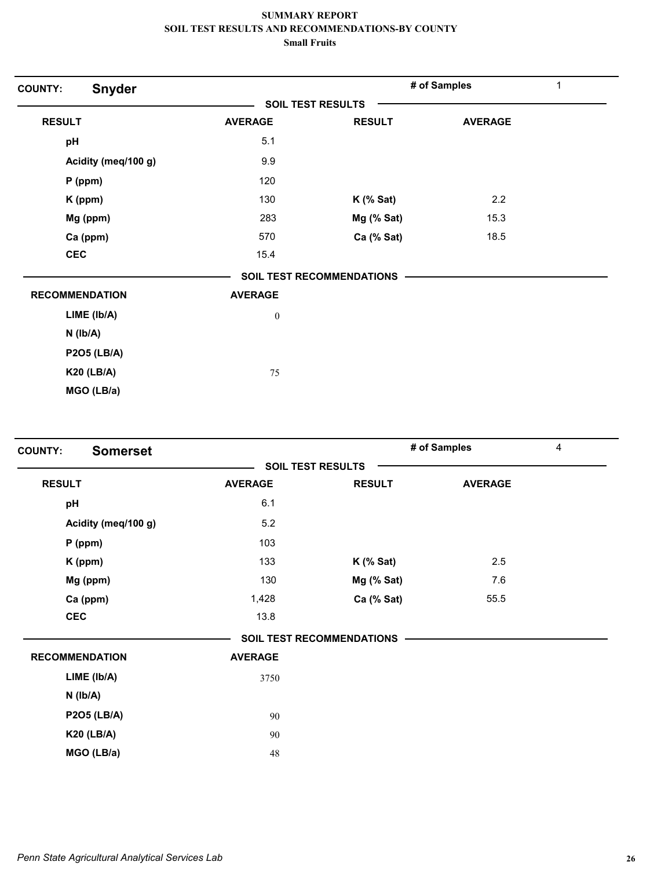| <b>COUNTY:</b> | <b>Snyder</b>         |                          |                           | # of Samples   | 1 |
|----------------|-----------------------|--------------------------|---------------------------|----------------|---|
|                |                       | <b>SOIL TEST RESULTS</b> |                           |                |   |
| <b>RESULT</b>  |                       | <b>AVERAGE</b>           | <b>RESULT</b>             | <b>AVERAGE</b> |   |
| pH             |                       | 5.1                      |                           |                |   |
|                | Acidity (meq/100 g)   | 9.9                      |                           |                |   |
|                | $P$ (ppm)             | 120                      |                           |                |   |
|                | K (ppm)               | 130                      | $K$ (% Sat)               | 2.2            |   |
|                | Mg (ppm)              | 283                      | Mg (% Sat)                | 15.3           |   |
|                | Ca (ppm)              | 570                      | Ca (% Sat)                | 18.5           |   |
| <b>CEC</b>     |                       | 15.4                     |                           |                |   |
|                |                       |                          | SOIL TEST RECOMMENDATIONS |                |   |
|                | <b>RECOMMENDATION</b> | <b>AVERAGE</b>           |                           |                |   |
|                | LIME (lb/A)           | $\boldsymbol{0}$         |                           |                |   |
|                | $N$ ( $lb/A$ )        |                          |                           |                |   |
|                | <b>P2O5 (LB/A)</b>    |                          |                           |                |   |
|                | <b>K20 (LB/A)</b>     | 75                       |                           |                |   |
|                | MGO (LB/a)            |                          |                           |                |   |

| <b>SOIL TEST RESULTS</b><br><b>RESULT</b><br><b>AVERAGE</b><br><b>RESULT</b><br><b>AVERAGE</b><br>6.1<br>pH<br>5.2<br>Acidity (meq/100 g)<br>103<br>$P$ (ppm)<br>2.5<br>133<br>K (ppm)<br>$K$ (% Sat)<br>Mg (ppm)<br>130<br>Mg (% Sat)<br>7.6<br>Ca (ppm)<br>1,428<br>Ca (% Sat)<br>55.5<br><b>CEC</b><br>13.8<br><b>SOIL TEST RECOMMENDATIONS</b><br><b>RECOMMENDATION</b><br><b>AVERAGE</b><br>3750 | <b>Somerset</b><br><b>COUNTY:</b> |
|-------------------------------------------------------------------------------------------------------------------------------------------------------------------------------------------------------------------------------------------------------------------------------------------------------------------------------------------------------------------------------------------------------|-----------------------------------|
|                                                                                                                                                                                                                                                                                                                                                                                                       |                                   |
|                                                                                                                                                                                                                                                                                                                                                                                                       |                                   |
|                                                                                                                                                                                                                                                                                                                                                                                                       |                                   |
|                                                                                                                                                                                                                                                                                                                                                                                                       |                                   |
|                                                                                                                                                                                                                                                                                                                                                                                                       |                                   |
|                                                                                                                                                                                                                                                                                                                                                                                                       |                                   |
|                                                                                                                                                                                                                                                                                                                                                                                                       |                                   |
|                                                                                                                                                                                                                                                                                                                                                                                                       |                                   |
|                                                                                                                                                                                                                                                                                                                                                                                                       |                                   |
|                                                                                                                                                                                                                                                                                                                                                                                                       |                                   |
|                                                                                                                                                                                                                                                                                                                                                                                                       |                                   |
|                                                                                                                                                                                                                                                                                                                                                                                                       | LIME (Ib/A)                       |
| $N$ ( $Ib/A$ )                                                                                                                                                                                                                                                                                                                                                                                        |                                   |
| <b>P2O5 (LB/A)</b><br>90                                                                                                                                                                                                                                                                                                                                                                              |                                   |
| <b>K20 (LB/A)</b><br>90                                                                                                                                                                                                                                                                                                                                                                               |                                   |
| MGO (LB/a)<br>48                                                                                                                                                                                                                                                                                                                                                                                      |                                   |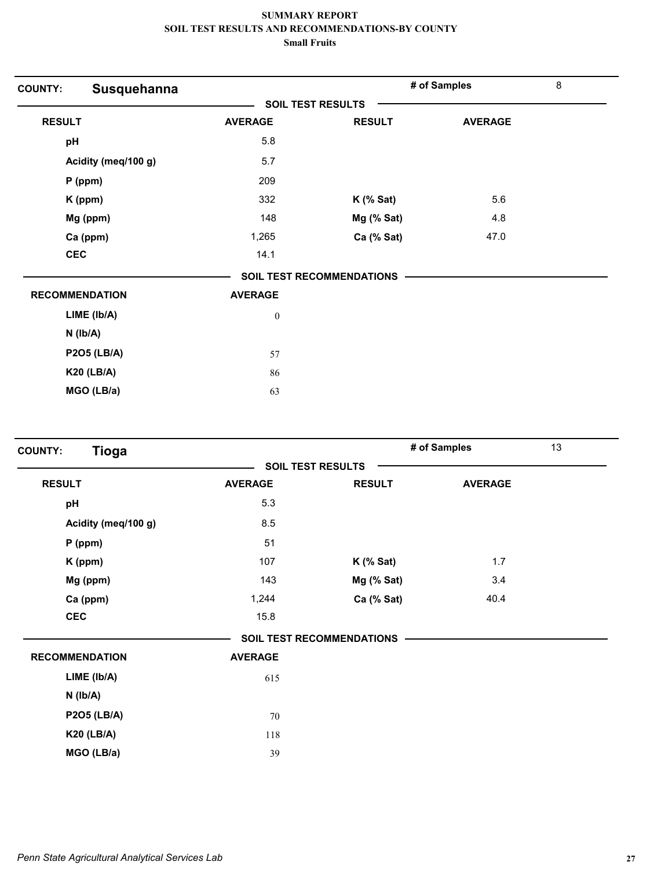| <b>COUNTY:</b>        | Susquehanna         |                          |                                  | # of Samples   | $\bf 8$ |
|-----------------------|---------------------|--------------------------|----------------------------------|----------------|---------|
|                       |                     | <b>SOIL TEST RESULTS</b> |                                  |                |         |
| <b>RESULT</b>         |                     | <b>AVERAGE</b>           | <b>RESULT</b>                    | <b>AVERAGE</b> |         |
| pH                    |                     | 5.8                      |                                  |                |         |
|                       | Acidity (meq/100 g) | 5.7                      |                                  |                |         |
|                       | P (ppm)             | 209                      |                                  |                |         |
|                       | K (ppm)             | 332                      | $K$ (% Sat)                      | 5.6            |         |
|                       | Mg (ppm)            | 148                      | Mg (% Sat)                       | 4.8            |         |
|                       | Ca (ppm)            | 1,265                    | Ca (% Sat)                       | 47.0           |         |
| <b>CEC</b>            |                     | 14.1                     |                                  |                |         |
|                       |                     |                          | <b>SOIL TEST RECOMMENDATIONS</b> |                |         |
| <b>RECOMMENDATION</b> |                     | <b>AVERAGE</b>           |                                  |                |         |
|                       | LIME (Ib/A)         | $\boldsymbol{0}$         |                                  |                |         |
| $N$ ( $Ib/A$ )        |                     |                          |                                  |                |         |
|                       | <b>P2O5 (LB/A)</b>  | 57                       |                                  |                |         |
|                       | <b>K20 (LB/A)</b>   | 86                       |                                  |                |         |
|                       | MGO (LB/a)          | 63                       |                                  |                |         |
|                       |                     |                          |                                  |                |         |

| <b>Tioga</b><br><b>COUNTY:</b> |                |                                  | # of Samples   | 13 |
|--------------------------------|----------------|----------------------------------|----------------|----|
|                                |                | <b>SOIL TEST RESULTS</b>         |                |    |
| <b>RESULT</b>                  | <b>AVERAGE</b> | <b>RESULT</b>                    | <b>AVERAGE</b> |    |
| pH                             | 5.3            |                                  |                |    |
| Acidity (meq/100 g)            | 8.5            |                                  |                |    |
| $P$ (ppm)                      | 51             |                                  |                |    |
| K (ppm)                        | 107            | $K$ (% Sat)                      | 1.7            |    |
| Mg (ppm)                       | 143            | Mg (% Sat)                       | 3.4            |    |
| Ca (ppm)                       | 1,244          | Ca (% Sat)                       | 40.4           |    |
| <b>CEC</b>                     | 15.8           |                                  |                |    |
|                                |                | <b>SOIL TEST RECOMMENDATIONS</b> |                |    |
| <b>RECOMMENDATION</b>          | <b>AVERAGE</b> |                                  |                |    |
| LIME (Ib/A)                    | 615            |                                  |                |    |
| $N$ ( $Ib/A$ )                 |                |                                  |                |    |
| <b>P2O5 (LB/A)</b>             | 70             |                                  |                |    |
| <b>K20 (LB/A)</b>              | 118            |                                  |                |    |
| MGO (LB/a)                     | 39             |                                  |                |    |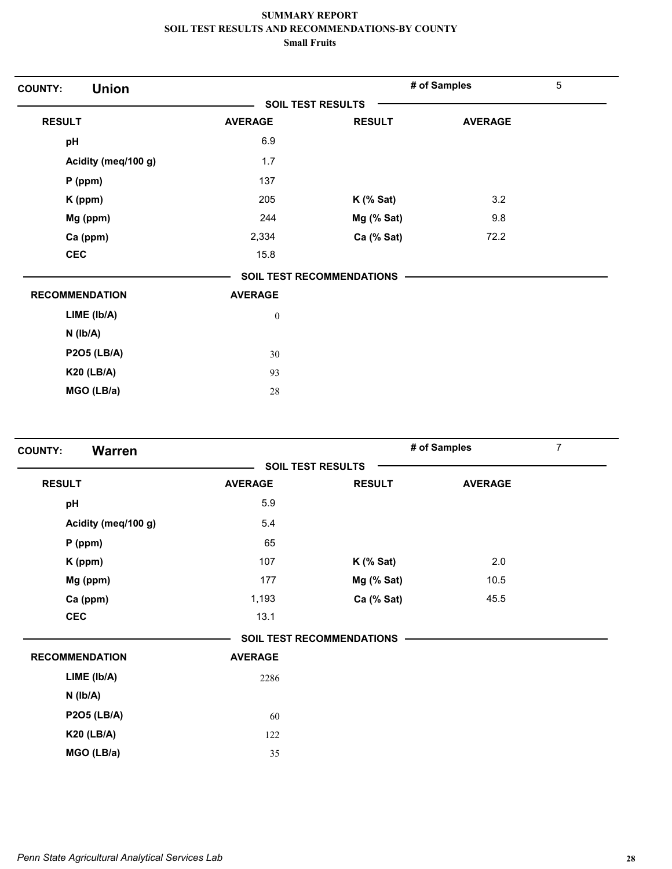| <b>Union</b><br><b>COUNTY:</b> |                  |                           | # of Samples   | 5 |
|--------------------------------|------------------|---------------------------|----------------|---|
|                                |                  | <b>SOIL TEST RESULTS</b>  |                |   |
| <b>RESULT</b>                  | <b>AVERAGE</b>   | <b>RESULT</b>             | <b>AVERAGE</b> |   |
| pH                             | 6.9              |                           |                |   |
| Acidity (meq/100 g)            | 1.7              |                           |                |   |
| $P$ (ppm)                      | 137              |                           |                |   |
| $K$ (ppm)                      | 205              | $K$ (% Sat)               | 3.2            |   |
| Mg (ppm)                       | 244              | Mg (% Sat)                | 9.8            |   |
| Ca (ppm)                       | 2,334            | Ca (% Sat)                | 72.2           |   |
| <b>CEC</b>                     | 15.8             |                           |                |   |
|                                |                  | SOIL TEST RECOMMENDATIONS |                |   |
| <b>RECOMMENDATION</b>          | <b>AVERAGE</b>   |                           |                |   |
| LIME (lb/A)                    | $\boldsymbol{0}$ |                           |                |   |
| $N$ ( $Ib/A$ )                 |                  |                           |                |   |
| <b>P2O5 (LB/A)</b>             | 30               |                           |                |   |
| <b>K20 (LB/A)</b>              | 93               |                           |                |   |
| MGO (LB/a)                     | 28               |                           |                |   |

| <b>Warren</b><br><b>COUNTY:</b> |                |                                  | # of Samples   | $\overline{7}$ |
|---------------------------------|----------------|----------------------------------|----------------|----------------|
|                                 |                | <b>SOIL TEST RESULTS</b>         |                |                |
| <b>RESULT</b>                   | <b>AVERAGE</b> | <b>RESULT</b>                    | <b>AVERAGE</b> |                |
| pH                              | 5.9            |                                  |                |                |
| Acidity (meq/100 g)             | 5.4            |                                  |                |                |
| $P$ (ppm)                       | 65             |                                  |                |                |
| K (ppm)                         | 107            | $K$ (% Sat)                      | 2.0            |                |
| Mg (ppm)                        | 177            | Mg (% Sat)                       | 10.5           |                |
| Ca (ppm)                        | 1,193          | Ca (% Sat)                       | 45.5           |                |
| <b>CEC</b>                      | 13.1           |                                  |                |                |
|                                 |                | <b>SOIL TEST RECOMMENDATIONS</b> |                |                |
| <b>RECOMMENDATION</b>           | <b>AVERAGE</b> |                                  |                |                |
| LIME (Ib/A)                     | 2286           |                                  |                |                |
| $N$ ( $Ib/A$ )                  |                |                                  |                |                |
| <b>P2O5 (LB/A)</b>              | 60             |                                  |                |                |
| <b>K20 (LB/A)</b>               | 122            |                                  |                |                |
| MGO (LB/a)                      | 35             |                                  |                |                |
|                                 |                |                                  |                |                |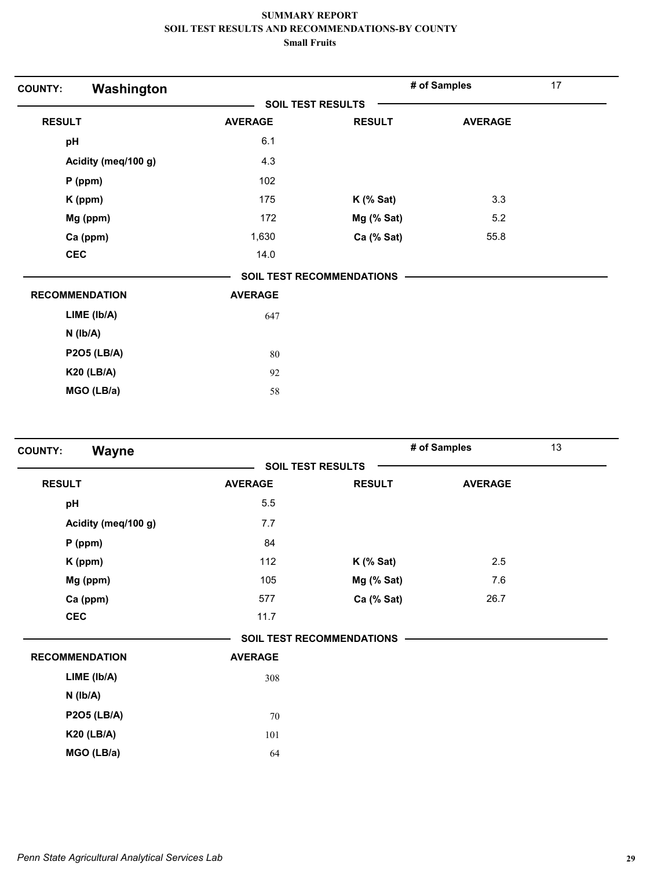| Washington<br><b>COUNTY:</b> |                |                                  | # of Samples   | 17 |
|------------------------------|----------------|----------------------------------|----------------|----|
|                              |                | <b>SOIL TEST RESULTS</b>         |                |    |
| <b>RESULT</b>                | <b>AVERAGE</b> | <b>RESULT</b>                    | <b>AVERAGE</b> |    |
| pH                           | 6.1            |                                  |                |    |
| Acidity (meq/100 g)          | 4.3            |                                  |                |    |
| P (ppm)                      | 102            |                                  |                |    |
| K (ppm)                      | 175            | $K$ (% Sat)                      | 3.3            |    |
| Mg (ppm)                     | 172            | Mg (% Sat)                       | 5.2            |    |
| Ca (ppm)                     | 1,630          | Ca (% Sat)                       | 55.8           |    |
| <b>CEC</b>                   | 14.0           |                                  |                |    |
|                              |                | <b>SOIL TEST RECOMMENDATIONS</b> |                |    |
| <b>RECOMMENDATION</b>        | <b>AVERAGE</b> |                                  |                |    |
| LIME (Ib/A)                  | 647            |                                  |                |    |
| $N$ ( $lb/A$ )               |                |                                  |                |    |
| <b>P2O5 (LB/A)</b>           | 80             |                                  |                |    |
| <b>K20 (LB/A)</b>            | 92             |                                  |                |    |
| MGO (LB/a)                   | 58             |                                  |                |    |

| Wayne<br><b>COUNTY:</b> |                |                           | # of Samples   | 13 |
|-------------------------|----------------|---------------------------|----------------|----|
|                         |                | <b>SOIL TEST RESULTS</b>  |                |    |
| <b>RESULT</b>           | <b>AVERAGE</b> | <b>RESULT</b>             | <b>AVERAGE</b> |    |
| pH                      | 5.5            |                           |                |    |
| Acidity (meq/100 g)     | 7.7            |                           |                |    |
| $P$ (ppm)               | 84             |                           |                |    |
| K (ppm)                 | 112            | $K$ (% Sat)               | 2.5            |    |
| Mg (ppm)                | 105            | Mg (% Sat)                | 7.6            |    |
| Ca (ppm)                | 577            | Ca (% Sat)                | 26.7           |    |
| <b>CEC</b>              | 11.7           |                           |                |    |
|                         |                | SOIL TEST RECOMMENDATIONS |                |    |
| <b>RECOMMENDATION</b>   | <b>AVERAGE</b> |                           |                |    |
| LIME (Ib/A)             | 308            |                           |                |    |
| $N$ ( $lb/A$ )          |                |                           |                |    |
| <b>P2O5 (LB/A)</b>      | 70             |                           |                |    |
| <b>K20 (LB/A)</b>       | 101            |                           |                |    |
| MGO (LB/a)              | 64             |                           |                |    |
|                         |                |                           |                |    |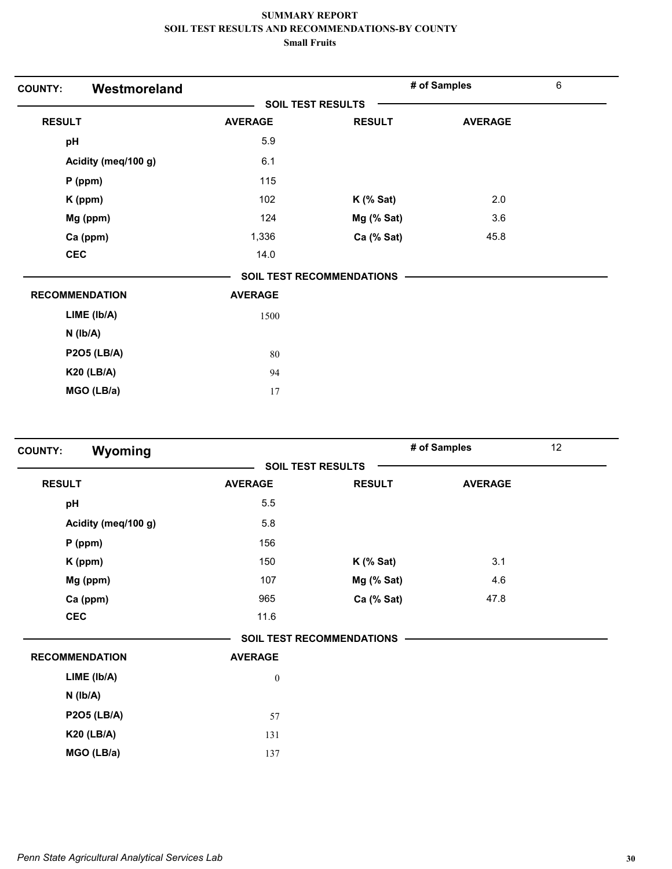| Westmoreland<br><b>COUNTY:</b> |                |                                  | # of Samples   | $\,6\,$ |
|--------------------------------|----------------|----------------------------------|----------------|---------|
|                                |                | <b>SOIL TEST RESULTS</b>         |                |         |
| <b>RESULT</b>                  | <b>AVERAGE</b> | <b>RESULT</b>                    | <b>AVERAGE</b> |         |
| pH                             | 5.9            |                                  |                |         |
| Acidity (meq/100 g)            | 6.1            |                                  |                |         |
| P (ppm)                        | 115            |                                  |                |         |
| K (ppm)                        | 102            | $K$ (% Sat)                      | 2.0            |         |
| Mg (ppm)                       | 124            | Mg (% Sat)                       | 3.6            |         |
| Ca (ppm)                       | 1,336          | Ca (% Sat)                       | 45.8           |         |
| <b>CEC</b>                     | 14.0           |                                  |                |         |
|                                |                | <b>SOIL TEST RECOMMENDATIONS</b> |                |         |
| <b>RECOMMENDATION</b>          | <b>AVERAGE</b> |                                  |                |         |
| LIME (lb/A)                    | 1500           |                                  |                |         |
| $N$ ( $lb/A$ )                 |                |                                  |                |         |
| <b>P2O5 (LB/A)</b>             | 80             |                                  |                |         |
| <b>K20 (LB/A)</b>              | 94             |                                  |                |         |
| MGO (LB/a)                     | 17             |                                  |                |         |

| Wyoming<br><b>COUNTY:</b> |                  | # of Samples                     |                | 12 |  |
|---------------------------|------------------|----------------------------------|----------------|----|--|
| <b>SOIL TEST RESULTS</b>  |                  |                                  |                |    |  |
| <b>RESULT</b>             | <b>AVERAGE</b>   | <b>RESULT</b>                    | <b>AVERAGE</b> |    |  |
| pH                        | 5.5              |                                  |                |    |  |
| Acidity (meq/100 g)       | 5.8              |                                  |                |    |  |
| $P$ (ppm)                 | 156              |                                  |                |    |  |
| K (ppm)                   | 150              | $K$ (% Sat)                      | 3.1            |    |  |
| Mg (ppm)                  | 107              | $Mg$ (% Sat)                     | 4.6            |    |  |
| Ca (ppm)                  | 965              | Ca (% Sat)                       | 47.8           |    |  |
| <b>CEC</b>                | 11.6             |                                  |                |    |  |
|                           |                  | <b>SOIL TEST RECOMMENDATIONS</b> |                |    |  |
| <b>RECOMMENDATION</b>     | <b>AVERAGE</b>   |                                  |                |    |  |
| LIME (lb/A)               | $\boldsymbol{0}$ |                                  |                |    |  |
| $N$ ( $Ib/A$ )            |                  |                                  |                |    |  |
| <b>P2O5 (LB/A)</b>        | 57               |                                  |                |    |  |
| <b>K20 (LB/A)</b>         | 131              |                                  |                |    |  |
| MGO (LB/a)                | 137              |                                  |                |    |  |
|                           |                  |                                  |                |    |  |